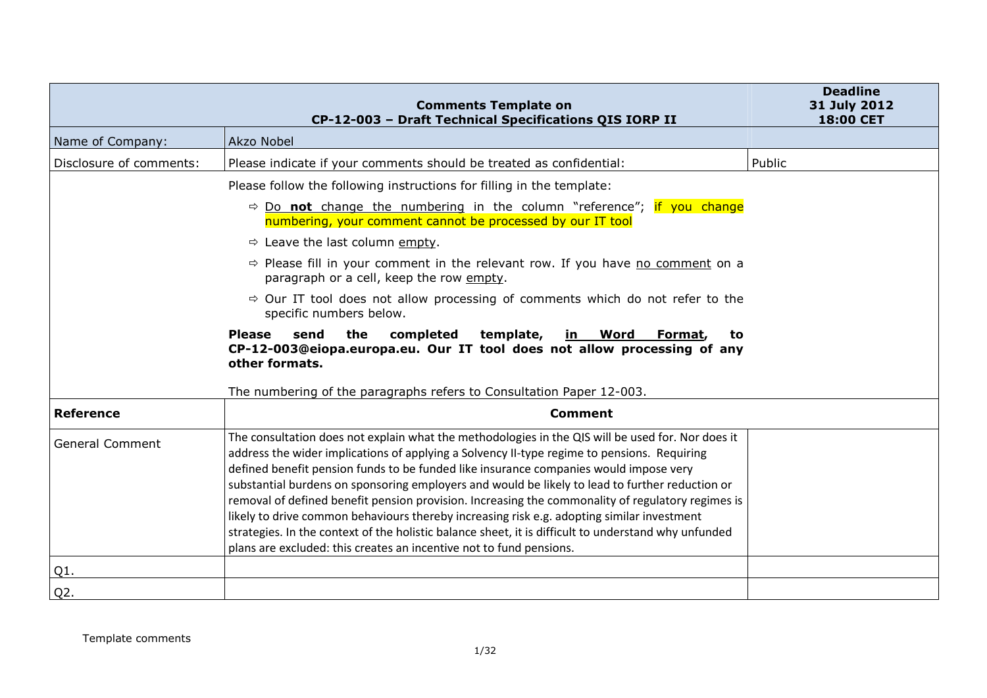|                         | <b>Comments Template on</b><br>CP-12-003 - Draft Technical Specifications QIS IORP II                                                                                                                                                                                                                                                                                                                                                                                                                                                                                                                                                                                                                                                                                          | <b>Deadline</b><br>31 July 2012<br>18:00 CET |
|-------------------------|--------------------------------------------------------------------------------------------------------------------------------------------------------------------------------------------------------------------------------------------------------------------------------------------------------------------------------------------------------------------------------------------------------------------------------------------------------------------------------------------------------------------------------------------------------------------------------------------------------------------------------------------------------------------------------------------------------------------------------------------------------------------------------|----------------------------------------------|
| Name of Company:        | Akzo Nobel                                                                                                                                                                                                                                                                                                                                                                                                                                                                                                                                                                                                                                                                                                                                                                     |                                              |
| Disclosure of comments: | Please indicate if your comments should be treated as confidential:                                                                                                                                                                                                                                                                                                                                                                                                                                                                                                                                                                                                                                                                                                            | Public                                       |
|                         | Please follow the following instructions for filling in the template:                                                                                                                                                                                                                                                                                                                                                                                                                                                                                                                                                                                                                                                                                                          |                                              |
|                         | $\Rightarrow$ Do not change the numbering in the column "reference"; if you change<br>numbering, your comment cannot be processed by our IT tool                                                                                                                                                                                                                                                                                                                                                                                                                                                                                                                                                                                                                               |                                              |
|                         | $\Rightarrow$ Leave the last column empty.                                                                                                                                                                                                                                                                                                                                                                                                                                                                                                                                                                                                                                                                                                                                     |                                              |
|                         | $\Rightarrow$ Please fill in your comment in the relevant row. If you have no comment on a<br>paragraph or a cell, keep the row empty.                                                                                                                                                                                                                                                                                                                                                                                                                                                                                                                                                                                                                                         |                                              |
|                         | $\Rightarrow$ Our IT tool does not allow processing of comments which do not refer to the<br>specific numbers below.                                                                                                                                                                                                                                                                                                                                                                                                                                                                                                                                                                                                                                                           |                                              |
|                         | <b>Please</b><br>the<br>completed<br>template,<br>send<br>Word<br>Format,<br>in<br>to<br>CP-12-003@eiopa.europa.eu. Our IT tool does not allow processing of any<br>other formats.                                                                                                                                                                                                                                                                                                                                                                                                                                                                                                                                                                                             |                                              |
| <b>Reference</b>        | The numbering of the paragraphs refers to Consultation Paper 12-003.<br><b>Comment</b>                                                                                                                                                                                                                                                                                                                                                                                                                                                                                                                                                                                                                                                                                         |                                              |
|                         |                                                                                                                                                                                                                                                                                                                                                                                                                                                                                                                                                                                                                                                                                                                                                                                |                                              |
| <b>General Comment</b>  | The consultation does not explain what the methodologies in the QIS will be used for. Nor does it<br>address the wider implications of applying a Solvency II-type regime to pensions. Requiring<br>defined benefit pension funds to be funded like insurance companies would impose very<br>substantial burdens on sponsoring employers and would be likely to lead to further reduction or<br>removal of defined benefit pension provision. Increasing the commonality of regulatory regimes is<br>likely to drive common behaviours thereby increasing risk e.g. adopting similar investment<br>strategies. In the context of the holistic balance sheet, it is difficult to understand why unfunded<br>plans are excluded: this creates an incentive not to fund pensions. |                                              |
| Q1.                     |                                                                                                                                                                                                                                                                                                                                                                                                                                                                                                                                                                                                                                                                                                                                                                                |                                              |
| Q <sub>2</sub> .        |                                                                                                                                                                                                                                                                                                                                                                                                                                                                                                                                                                                                                                                                                                                                                                                |                                              |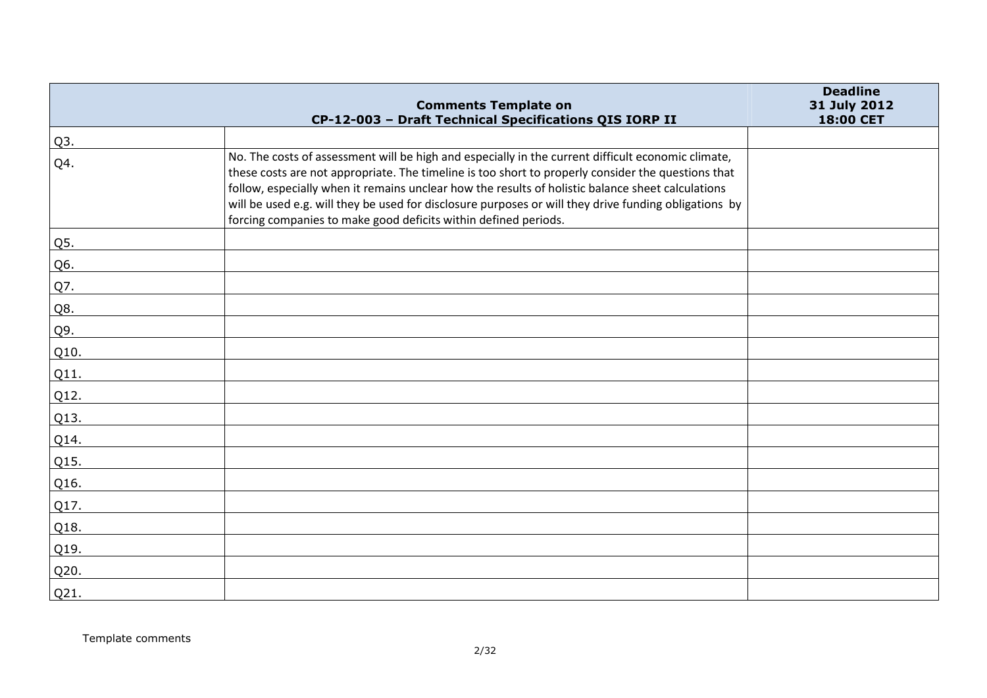|                  | <b>Comments Template on</b>                                                                                                                                                                                                                                                                                                                                                                                                                                                               | <b>Deadline</b><br>31 July 2012 |
|------------------|-------------------------------------------------------------------------------------------------------------------------------------------------------------------------------------------------------------------------------------------------------------------------------------------------------------------------------------------------------------------------------------------------------------------------------------------------------------------------------------------|---------------------------------|
|                  | CP-12-003 - Draft Technical Specifications QIS IORP II                                                                                                                                                                                                                                                                                                                                                                                                                                    | 18:00 CET                       |
| Q <sub>3</sub> . |                                                                                                                                                                                                                                                                                                                                                                                                                                                                                           |                                 |
| Q4.              | No. The costs of assessment will be high and especially in the current difficult economic climate,<br>these costs are not appropriate. The timeline is too short to properly consider the questions that<br>follow, especially when it remains unclear how the results of holistic balance sheet calculations<br>will be used e.g. will they be used for disclosure purposes or will they drive funding obligations by<br>forcing companies to make good deficits within defined periods. |                                 |
| Q5.              |                                                                                                                                                                                                                                                                                                                                                                                                                                                                                           |                                 |
| Q6.              |                                                                                                                                                                                                                                                                                                                                                                                                                                                                                           |                                 |
| Q7.              |                                                                                                                                                                                                                                                                                                                                                                                                                                                                                           |                                 |
| Q8.              |                                                                                                                                                                                                                                                                                                                                                                                                                                                                                           |                                 |
| Q9.              |                                                                                                                                                                                                                                                                                                                                                                                                                                                                                           |                                 |
| Q10.             |                                                                                                                                                                                                                                                                                                                                                                                                                                                                                           |                                 |
| Q11.             |                                                                                                                                                                                                                                                                                                                                                                                                                                                                                           |                                 |
| Q12.             |                                                                                                                                                                                                                                                                                                                                                                                                                                                                                           |                                 |
| Q13.             |                                                                                                                                                                                                                                                                                                                                                                                                                                                                                           |                                 |
| Q14.             |                                                                                                                                                                                                                                                                                                                                                                                                                                                                                           |                                 |
| Q15.             |                                                                                                                                                                                                                                                                                                                                                                                                                                                                                           |                                 |
| Q16.             |                                                                                                                                                                                                                                                                                                                                                                                                                                                                                           |                                 |
| Q17.             |                                                                                                                                                                                                                                                                                                                                                                                                                                                                                           |                                 |
| Q18.             |                                                                                                                                                                                                                                                                                                                                                                                                                                                                                           |                                 |
| Q19.             |                                                                                                                                                                                                                                                                                                                                                                                                                                                                                           |                                 |
| Q20.             |                                                                                                                                                                                                                                                                                                                                                                                                                                                                                           |                                 |
| Q21.             |                                                                                                                                                                                                                                                                                                                                                                                                                                                                                           |                                 |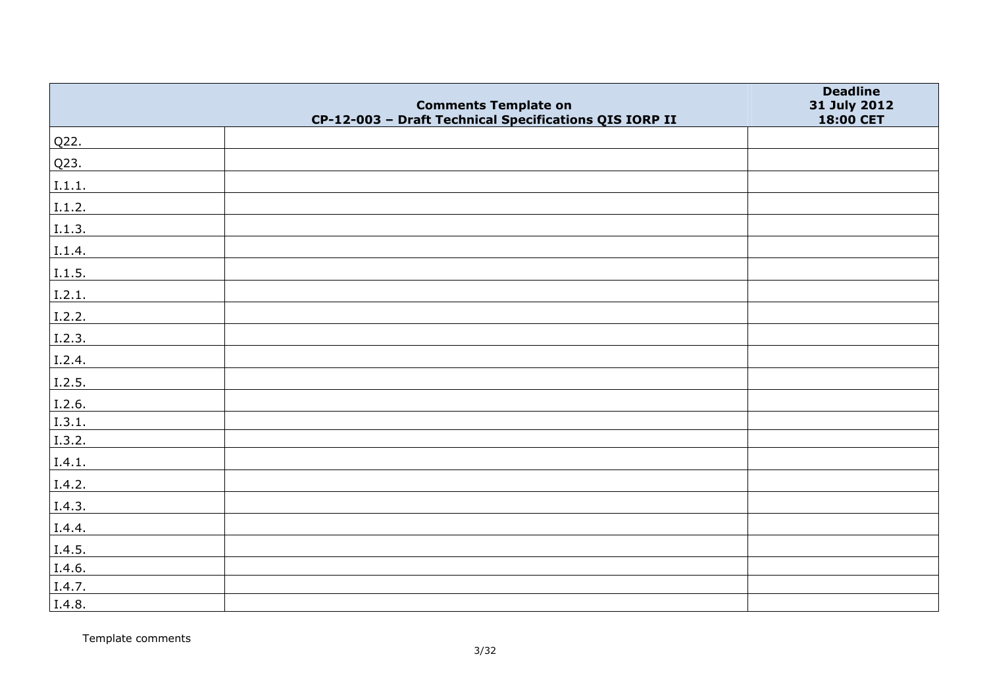|        | <b>Comments Template on</b>                            | <b>Deadline</b><br>31 July 2012 |
|--------|--------------------------------------------------------|---------------------------------|
|        | CP-12-003 - Draft Technical Specifications QIS IORP II | 18:00 CET                       |
| Q22.   |                                                        |                                 |
| Q23.   |                                                        |                                 |
| I.1.1. |                                                        |                                 |
| I.1.2. |                                                        |                                 |
| I.1.3. |                                                        |                                 |
| I.1.4. |                                                        |                                 |
| I.1.5. |                                                        |                                 |
| 1.2.1. |                                                        |                                 |
| I.2.2. |                                                        |                                 |
| 1.2.3. |                                                        |                                 |
| I.2.4. |                                                        |                                 |
| I.2.5. |                                                        |                                 |
| I.2.6. |                                                        |                                 |
| I.3.1. |                                                        |                                 |
| I.3.2. |                                                        |                                 |
| I.4.1. |                                                        |                                 |
| I.4.2. |                                                        |                                 |
| I.4.3. |                                                        |                                 |
| I.4.4. |                                                        |                                 |
| I.4.5. |                                                        |                                 |
| I.4.6. |                                                        |                                 |
| I.4.7. |                                                        |                                 |
| I.4.8. |                                                        |                                 |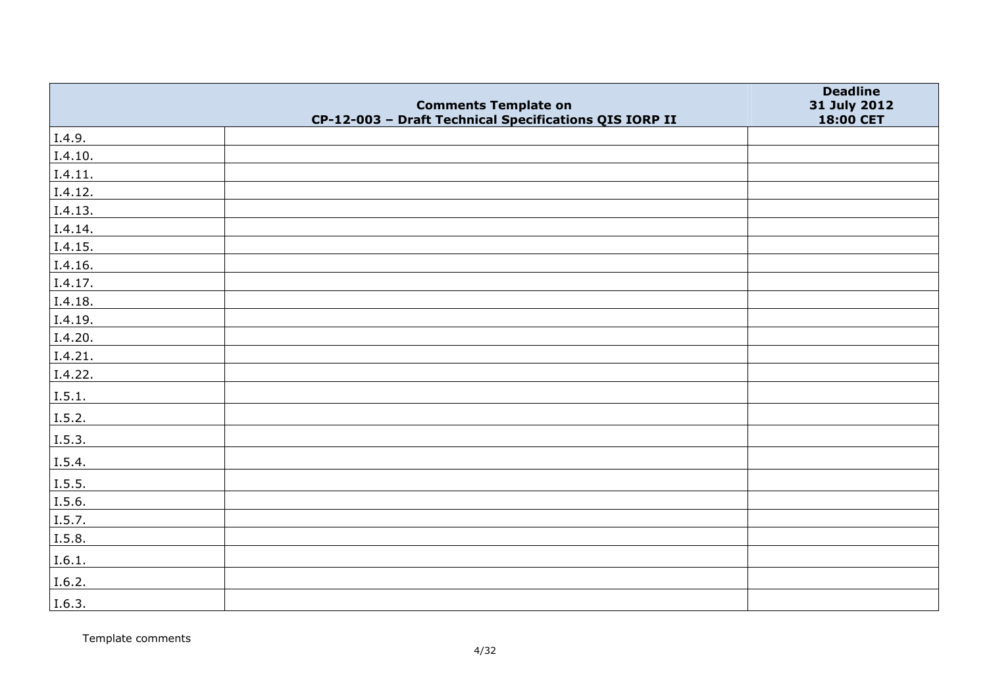|         | <b>Comments Template on</b><br>CP-12-003 - Draft Technical Specifications QIS IORP II | <b>Deadline</b><br>31 July 2012<br>18:00 CET |
|---------|---------------------------------------------------------------------------------------|----------------------------------------------|
| I.4.9.  |                                                                                       |                                              |
| I.4.10. |                                                                                       |                                              |
| I.4.11. |                                                                                       |                                              |
| I.4.12. |                                                                                       |                                              |
| I.4.13. |                                                                                       |                                              |
| I.4.14. |                                                                                       |                                              |
| I.4.15. |                                                                                       |                                              |
| I.4.16. |                                                                                       |                                              |
| I.4.17. |                                                                                       |                                              |
| I.4.18. |                                                                                       |                                              |
| I.4.19. |                                                                                       |                                              |
| I.4.20. |                                                                                       |                                              |
| I.4.21. |                                                                                       |                                              |
| I.4.22. |                                                                                       |                                              |
| I.5.1.  |                                                                                       |                                              |
| I.5.2.  |                                                                                       |                                              |
| I.5.3.  |                                                                                       |                                              |
| I.5.4.  |                                                                                       |                                              |
| I.5.5.  |                                                                                       |                                              |
| I.5.6.  |                                                                                       |                                              |
| I.5.7.  |                                                                                       |                                              |
| I.5.8.  |                                                                                       |                                              |
| I.6.1.  |                                                                                       |                                              |
| I.6.2.  |                                                                                       |                                              |
| I.6.3.  |                                                                                       |                                              |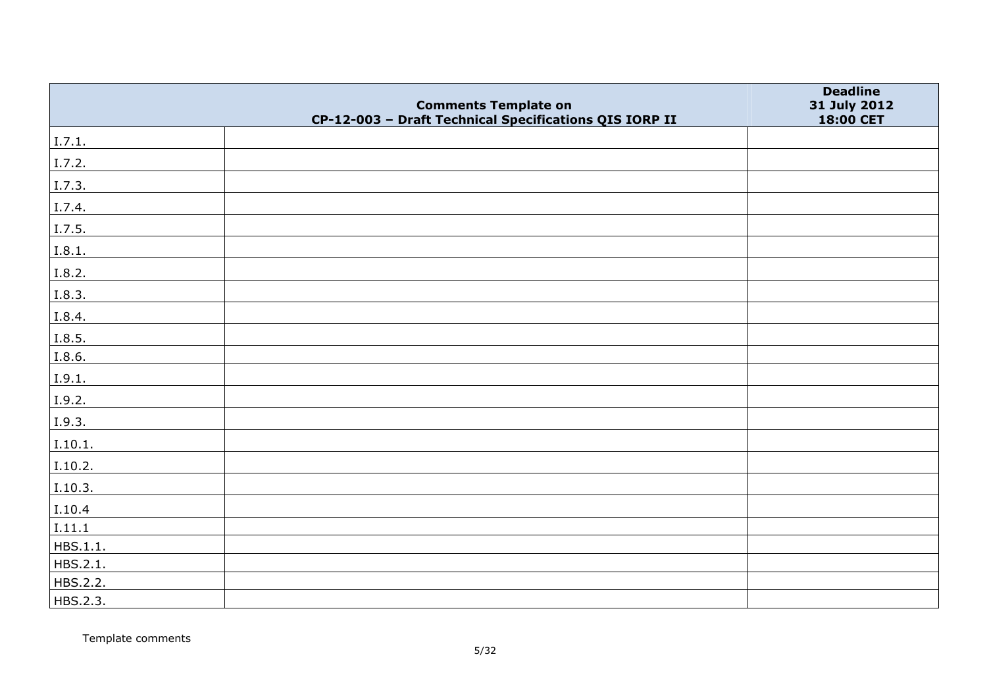|          | <b>Comments Template on</b>                            | <b>Deadline</b><br>31 July 2012 |
|----------|--------------------------------------------------------|---------------------------------|
|          | CP-12-003 - Draft Technical Specifications QIS IORP II | 18:00 CET                       |
| I.7.1.   |                                                        |                                 |
| I.7.2.   |                                                        |                                 |
| I.7.3.   |                                                        |                                 |
| I.7.4.   |                                                        |                                 |
| I.7.5.   |                                                        |                                 |
| I.8.1.   |                                                        |                                 |
| I.8.2.   |                                                        |                                 |
| I.8.3.   |                                                        |                                 |
| I.8.4.   |                                                        |                                 |
| I.8.5.   |                                                        |                                 |
| I.8.6.   |                                                        |                                 |
| I.9.1.   |                                                        |                                 |
| I.9.2.   |                                                        |                                 |
| I.9.3.   |                                                        |                                 |
| I.10.1.  |                                                        |                                 |
| I.10.2.  |                                                        |                                 |
| I.10.3.  |                                                        |                                 |
| I.10.4   |                                                        |                                 |
| I.11.1   |                                                        |                                 |
| HBS.1.1. |                                                        |                                 |
| HBS.2.1. |                                                        |                                 |
| HBS.2.2. |                                                        |                                 |
| HBS.2.3. |                                                        |                                 |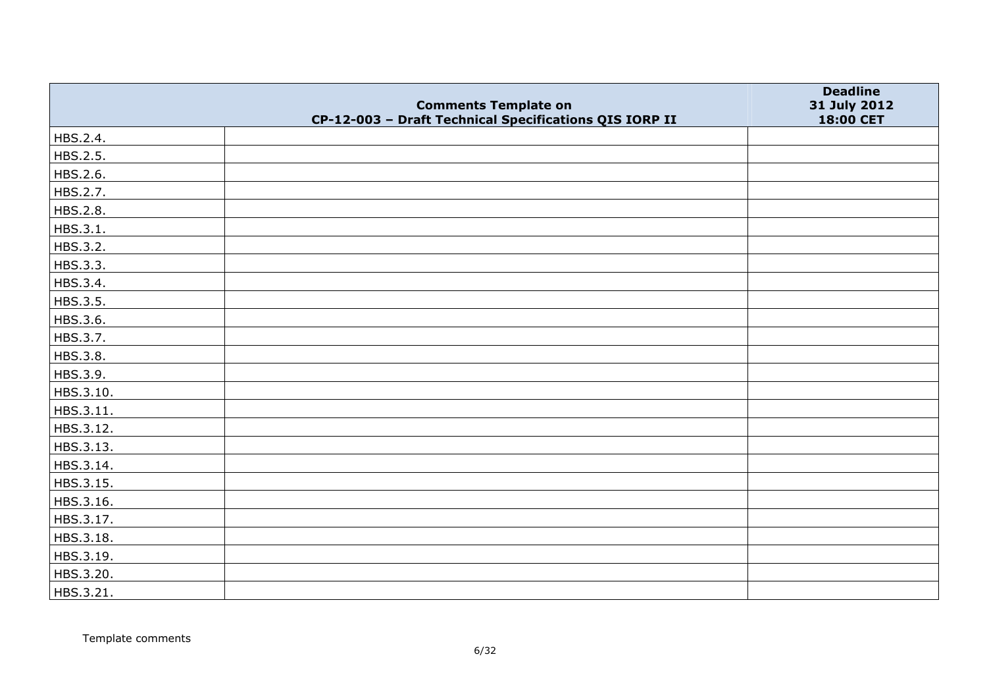|           | <b>Comments Template on</b>                            | <b>Deadline</b><br>31 July 2012 |
|-----------|--------------------------------------------------------|---------------------------------|
|           | CP-12-003 - Draft Technical Specifications QIS IORP II | 18:00 CET                       |
| HBS.2.4.  |                                                        |                                 |
| HBS.2.5.  |                                                        |                                 |
| HBS.2.6.  |                                                        |                                 |
| HBS.2.7.  |                                                        |                                 |
| HBS.2.8.  |                                                        |                                 |
| HBS.3.1.  |                                                        |                                 |
| HBS.3.2.  |                                                        |                                 |
| HBS.3.3.  |                                                        |                                 |
| HBS.3.4.  |                                                        |                                 |
| HBS.3.5.  |                                                        |                                 |
| HBS.3.6.  |                                                        |                                 |
| HBS.3.7.  |                                                        |                                 |
| HBS.3.8.  |                                                        |                                 |
| HBS.3.9.  |                                                        |                                 |
| HBS.3.10. |                                                        |                                 |
| HBS.3.11. |                                                        |                                 |
| HBS.3.12. |                                                        |                                 |
| HBS.3.13. |                                                        |                                 |
| HBS.3.14. |                                                        |                                 |
| HBS.3.15. |                                                        |                                 |
| HBS.3.16. |                                                        |                                 |
| HBS.3.17. |                                                        |                                 |
| HBS.3.18. |                                                        |                                 |
| HBS.3.19. |                                                        |                                 |
| HBS.3.20. |                                                        |                                 |
| HBS.3.21. |                                                        |                                 |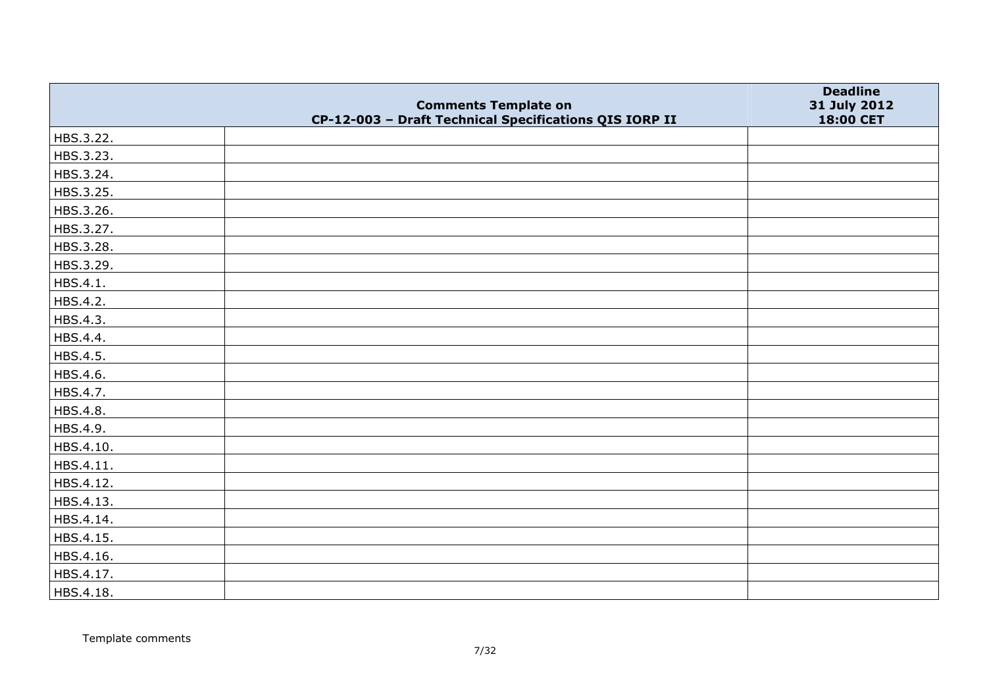|           | <b>Comments Template on</b>                            | <b>Deadline</b>           |
|-----------|--------------------------------------------------------|---------------------------|
|           | CP-12-003 - Draft Technical Specifications QIS IORP II | 31 July 2012<br>18:00 CET |
| HBS.3.22. |                                                        |                           |
| HBS.3.23. |                                                        |                           |
| HBS.3.24. |                                                        |                           |
| HBS.3.25. |                                                        |                           |
| HBS.3.26. |                                                        |                           |
| HBS.3.27. |                                                        |                           |
| HBS.3.28. |                                                        |                           |
| HBS.3.29. |                                                        |                           |
| HBS.4.1.  |                                                        |                           |
| HBS.4.2.  |                                                        |                           |
| HBS.4.3.  |                                                        |                           |
| HBS.4.4.  |                                                        |                           |
| HBS.4.5.  |                                                        |                           |
| HBS.4.6.  |                                                        |                           |
| HBS.4.7.  |                                                        |                           |
| HBS.4.8.  |                                                        |                           |
| HBS.4.9.  |                                                        |                           |
| HBS.4.10. |                                                        |                           |
| HBS.4.11. |                                                        |                           |
| HBS.4.12. |                                                        |                           |
| HBS.4.13. |                                                        |                           |
| HBS.4.14. |                                                        |                           |
| HBS.4.15. |                                                        |                           |
| HBS.4.16. |                                                        |                           |
| HBS.4.17. |                                                        |                           |
| HBS.4.18. |                                                        |                           |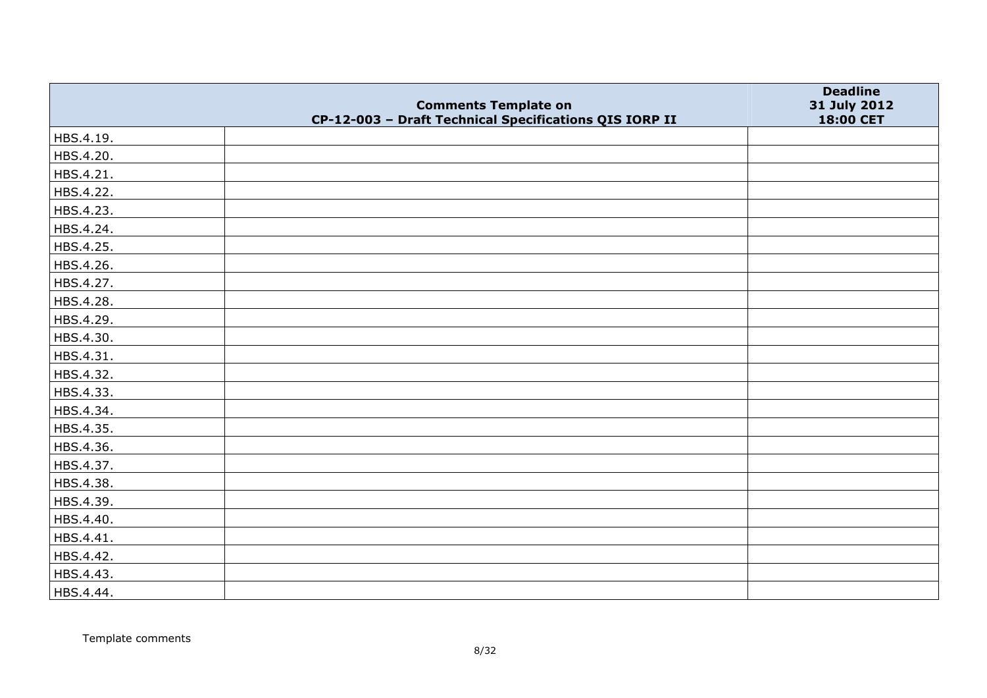|           | <b>Comments Template on</b>                            | <b>Deadline</b><br>31 July 2012 |
|-----------|--------------------------------------------------------|---------------------------------|
|           | CP-12-003 - Draft Technical Specifications QIS IORP II | 18:00 CET                       |
| HBS.4.19. |                                                        |                                 |
| HBS.4.20. |                                                        |                                 |
| HBS.4.21. |                                                        |                                 |
| HBS.4.22. |                                                        |                                 |
| HBS.4.23. |                                                        |                                 |
| HBS.4.24. |                                                        |                                 |
| HBS.4.25. |                                                        |                                 |
| HBS.4.26. |                                                        |                                 |
| HBS.4.27. |                                                        |                                 |
| HBS.4.28. |                                                        |                                 |
| HBS.4.29. |                                                        |                                 |
| HBS.4.30. |                                                        |                                 |
| HBS.4.31. |                                                        |                                 |
| HBS.4.32. |                                                        |                                 |
| HBS.4.33. |                                                        |                                 |
| HBS.4.34. |                                                        |                                 |
| HBS.4.35. |                                                        |                                 |
| HBS.4.36. |                                                        |                                 |
| HBS.4.37. |                                                        |                                 |
| HBS.4.38. |                                                        |                                 |
| HBS.4.39. |                                                        |                                 |
| HBS.4.40. |                                                        |                                 |
| HBS.4.41. |                                                        |                                 |
| HBS.4.42. |                                                        |                                 |
| HBS.4.43. |                                                        |                                 |
| HBS.4.44. |                                                        |                                 |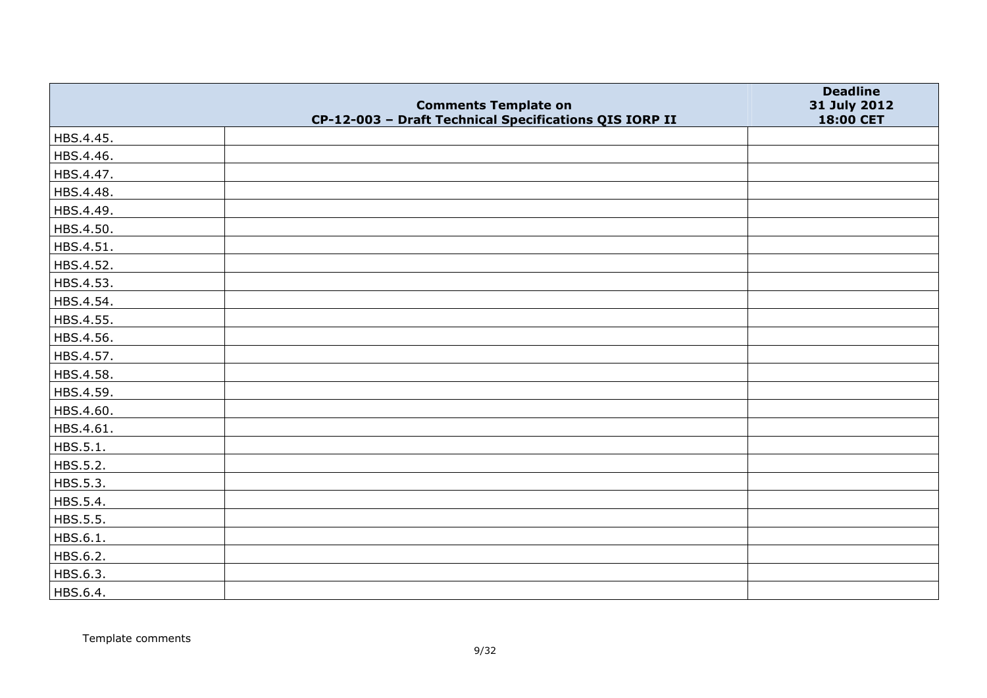|           | <b>Comments Template on</b>                            | <b>Deadline</b><br>31 July 2012 |
|-----------|--------------------------------------------------------|---------------------------------|
|           | CP-12-003 - Draft Technical Specifications QIS IORP II | 18:00 CET                       |
| HBS.4.45. |                                                        |                                 |
| HBS.4.46. |                                                        |                                 |
| HBS.4.47. |                                                        |                                 |
| HBS.4.48. |                                                        |                                 |
| HBS.4.49. |                                                        |                                 |
| HBS.4.50. |                                                        |                                 |
| HBS.4.51. |                                                        |                                 |
| HBS.4.52. |                                                        |                                 |
| HBS.4.53. |                                                        |                                 |
| HBS.4.54. |                                                        |                                 |
| HBS.4.55. |                                                        |                                 |
| HBS.4.56. |                                                        |                                 |
| HBS.4.57. |                                                        |                                 |
| HBS.4.58. |                                                        |                                 |
| HBS.4.59. |                                                        |                                 |
| HBS.4.60. |                                                        |                                 |
| HBS.4.61. |                                                        |                                 |
| HBS.5.1.  |                                                        |                                 |
| HBS.5.2.  |                                                        |                                 |
| HBS.5.3.  |                                                        |                                 |
| HBS.5.4.  |                                                        |                                 |
| HBS.5.5.  |                                                        |                                 |
| HBS.6.1.  |                                                        |                                 |
| HBS.6.2.  |                                                        |                                 |
| HBS.6.3.  |                                                        |                                 |
| HBS.6.4.  |                                                        |                                 |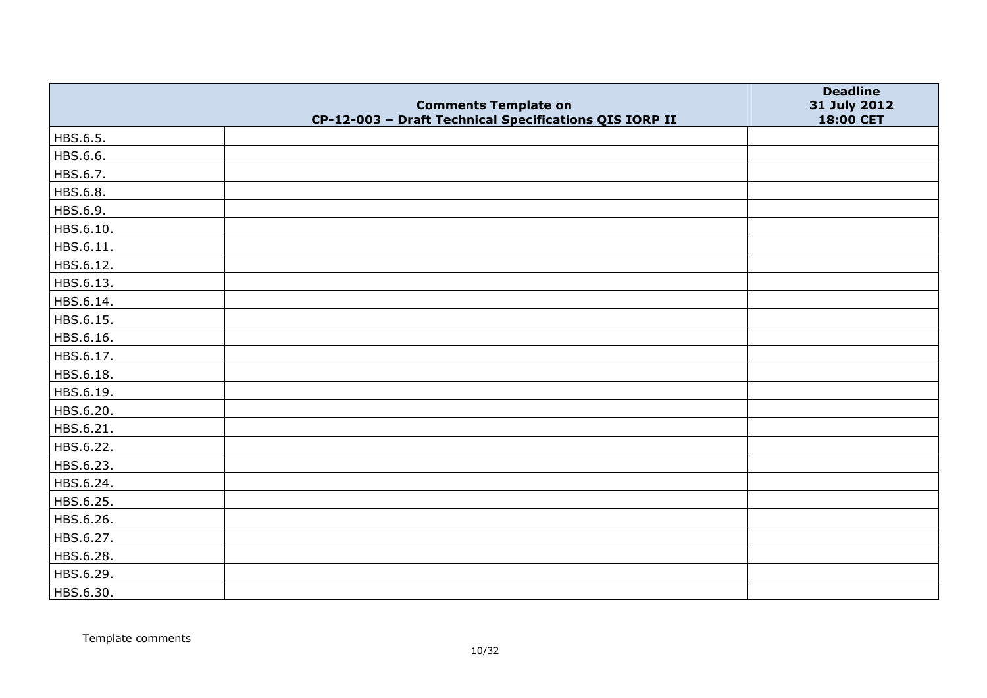|           | <b>Comments Template on</b>                            | <b>Deadline</b><br>31 July 2012 |
|-----------|--------------------------------------------------------|---------------------------------|
|           | CP-12-003 - Draft Technical Specifications QIS IORP II | 18:00 CET                       |
| HBS.6.5.  |                                                        |                                 |
| HBS.6.6.  |                                                        |                                 |
| HBS.6.7.  |                                                        |                                 |
| HBS.6.8.  |                                                        |                                 |
| HBS.6.9.  |                                                        |                                 |
| HBS.6.10. |                                                        |                                 |
| HBS.6.11. |                                                        |                                 |
| HBS.6.12. |                                                        |                                 |
| HBS.6.13. |                                                        |                                 |
| HBS.6.14. |                                                        |                                 |
| HBS.6.15. |                                                        |                                 |
| HBS.6.16. |                                                        |                                 |
| HBS.6.17. |                                                        |                                 |
| HBS.6.18. |                                                        |                                 |
| HBS.6.19. |                                                        |                                 |
| HBS.6.20. |                                                        |                                 |
| HBS.6.21. |                                                        |                                 |
| HBS.6.22. |                                                        |                                 |
| HBS.6.23. |                                                        |                                 |
| HBS.6.24. |                                                        |                                 |
| HBS.6.25. |                                                        |                                 |
| HBS.6.26. |                                                        |                                 |
| HBS.6.27. |                                                        |                                 |
| HBS.6.28. |                                                        |                                 |
| HBS.6.29. |                                                        |                                 |
| HBS.6.30. |                                                        |                                 |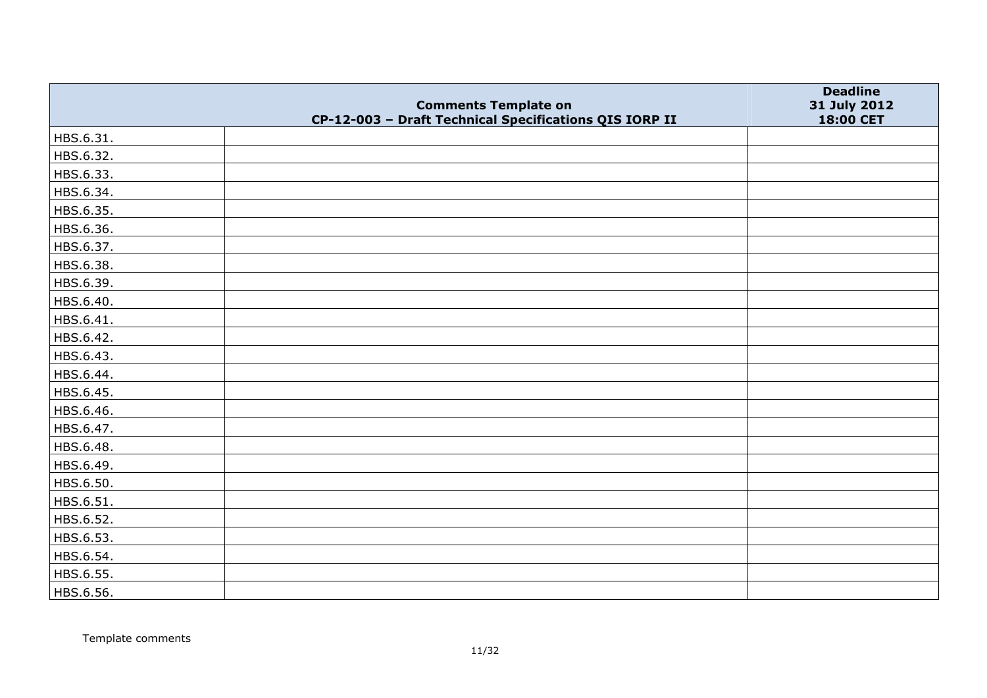|           | <b>Comments Template on</b>                            | <b>Deadline</b><br>31 July 2012 |
|-----------|--------------------------------------------------------|---------------------------------|
|           | CP-12-003 - Draft Technical Specifications QIS IORP II | 18:00 CET                       |
| HBS.6.31. |                                                        |                                 |
| HBS.6.32. |                                                        |                                 |
| HBS.6.33. |                                                        |                                 |
| HBS.6.34. |                                                        |                                 |
| HBS.6.35. |                                                        |                                 |
| HBS.6.36. |                                                        |                                 |
| HBS.6.37. |                                                        |                                 |
| HBS.6.38. |                                                        |                                 |
| HBS.6.39. |                                                        |                                 |
| HBS.6.40. |                                                        |                                 |
| HBS.6.41. |                                                        |                                 |
| HBS.6.42. |                                                        |                                 |
| HBS.6.43. |                                                        |                                 |
| HBS.6.44. |                                                        |                                 |
| HBS.6.45. |                                                        |                                 |
| HBS.6.46. |                                                        |                                 |
| HBS.6.47. |                                                        |                                 |
| HBS.6.48. |                                                        |                                 |
| HBS.6.49. |                                                        |                                 |
| HBS.6.50. |                                                        |                                 |
| HBS.6.51. |                                                        |                                 |
| HBS.6.52. |                                                        |                                 |
| HBS.6.53. |                                                        |                                 |
| HBS.6.54. |                                                        |                                 |
| HBS.6.55. |                                                        |                                 |
| HBS.6.56. |                                                        |                                 |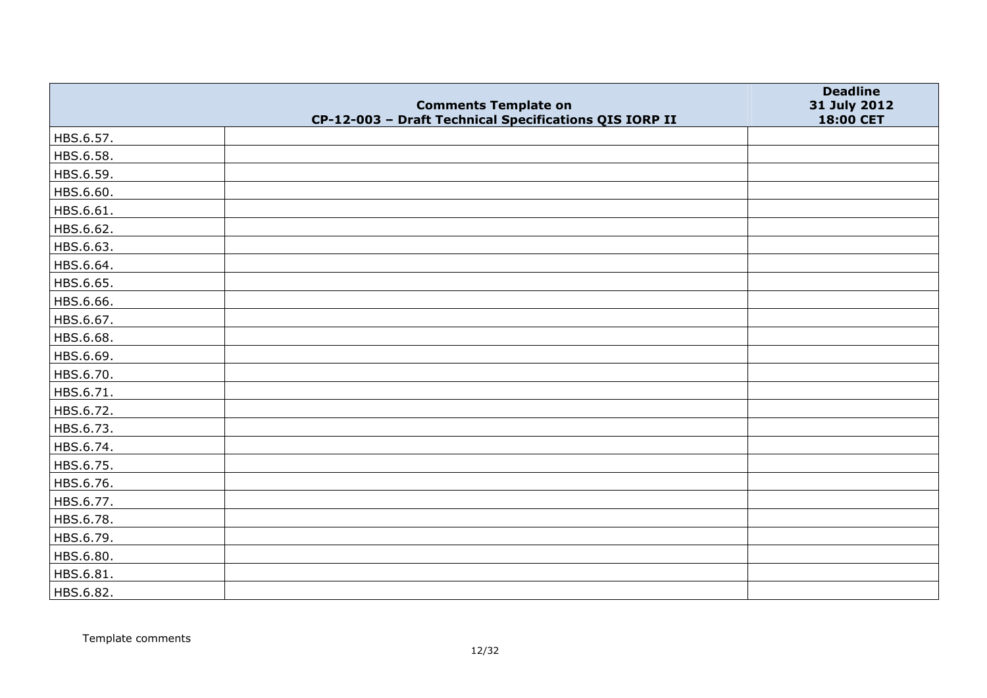|           | <b>Comments Template on</b>                            | <b>Deadline</b><br>31 July 2012 |
|-----------|--------------------------------------------------------|---------------------------------|
|           | CP-12-003 - Draft Technical Specifications QIS IORP II | 18:00 CET                       |
| HBS.6.57. |                                                        |                                 |
| HBS.6.58. |                                                        |                                 |
| HBS.6.59. |                                                        |                                 |
| HBS.6.60. |                                                        |                                 |
| HBS.6.61. |                                                        |                                 |
| HBS.6.62. |                                                        |                                 |
| HBS.6.63. |                                                        |                                 |
| HBS.6.64. |                                                        |                                 |
| HBS.6.65. |                                                        |                                 |
| HBS.6.66. |                                                        |                                 |
| HBS.6.67. |                                                        |                                 |
| HBS.6.68. |                                                        |                                 |
| HBS.6.69. |                                                        |                                 |
| HBS.6.70. |                                                        |                                 |
| HBS.6.71. |                                                        |                                 |
| HBS.6.72. |                                                        |                                 |
| HBS.6.73. |                                                        |                                 |
| HBS.6.74. |                                                        |                                 |
| HBS.6.75. |                                                        |                                 |
| HBS.6.76. |                                                        |                                 |
| HBS.6.77. |                                                        |                                 |
| HBS.6.78. |                                                        |                                 |
| HBS.6.79. |                                                        |                                 |
| HBS.6.80. |                                                        |                                 |
| HBS.6.81. |                                                        |                                 |
| HBS.6.82. |                                                        |                                 |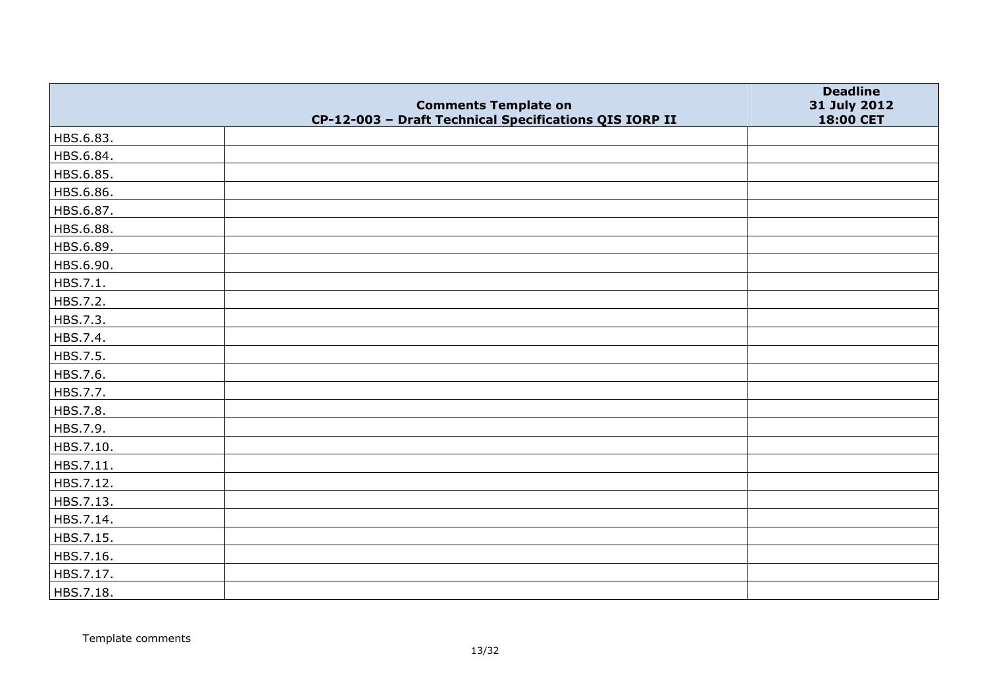|           | <b>Comments Template on</b>                            | <b>Deadline</b>           |
|-----------|--------------------------------------------------------|---------------------------|
|           | CP-12-003 - Draft Technical Specifications QIS IORP II | 31 July 2012<br>18:00 CET |
| HBS.6.83. |                                                        |                           |
| HBS.6.84. |                                                        |                           |
| HBS.6.85. |                                                        |                           |
| HBS.6.86. |                                                        |                           |
| HBS.6.87. |                                                        |                           |
| HBS.6.88. |                                                        |                           |
| HBS.6.89. |                                                        |                           |
| HBS.6.90. |                                                        |                           |
| HBS.7.1.  |                                                        |                           |
| HBS.7.2.  |                                                        |                           |
| HBS.7.3.  |                                                        |                           |
| HBS.7.4.  |                                                        |                           |
| HBS.7.5.  |                                                        |                           |
| HBS.7.6.  |                                                        |                           |
| HBS.7.7.  |                                                        |                           |
| HBS.7.8.  |                                                        |                           |
| HBS.7.9.  |                                                        |                           |
| HBS.7.10. |                                                        |                           |
| HBS.7.11. |                                                        |                           |
| HBS.7.12. |                                                        |                           |
| HBS.7.13. |                                                        |                           |
| HBS.7.14. |                                                        |                           |
| HBS.7.15. |                                                        |                           |
| HBS.7.16. |                                                        |                           |
| HBS.7.17. |                                                        |                           |
| HBS.7.18. |                                                        |                           |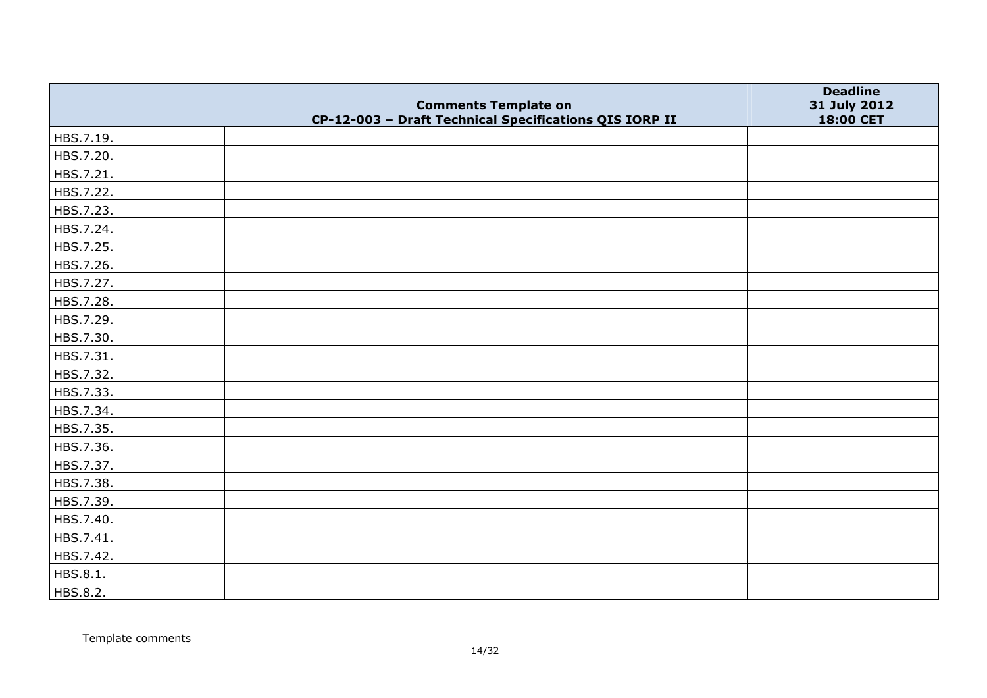|           | <b>Comments Template on</b>                            | <b>Deadline</b><br>31 July 2012 |
|-----------|--------------------------------------------------------|---------------------------------|
|           | CP-12-003 - Draft Technical Specifications QIS IORP II | 18:00 CET                       |
| HBS.7.19. |                                                        |                                 |
| HBS.7.20. |                                                        |                                 |
| HBS.7.21. |                                                        |                                 |
| HBS.7.22. |                                                        |                                 |
| HBS.7.23. |                                                        |                                 |
| HBS.7.24. |                                                        |                                 |
| HBS.7.25. |                                                        |                                 |
| HBS.7.26. |                                                        |                                 |
| HBS.7.27. |                                                        |                                 |
| HBS.7.28. |                                                        |                                 |
| HBS.7.29. |                                                        |                                 |
| HBS.7.30. |                                                        |                                 |
| HBS.7.31. |                                                        |                                 |
| HBS.7.32. |                                                        |                                 |
| HBS.7.33. |                                                        |                                 |
| HBS.7.34. |                                                        |                                 |
| HBS.7.35. |                                                        |                                 |
| HBS.7.36. |                                                        |                                 |
| HBS.7.37. |                                                        |                                 |
| HBS.7.38. |                                                        |                                 |
| HBS.7.39. |                                                        |                                 |
| HBS.7.40. |                                                        |                                 |
| HBS.7.41. |                                                        |                                 |
| HBS.7.42. |                                                        |                                 |
| HBS.8.1.  |                                                        |                                 |
| HBS.8.2.  |                                                        |                                 |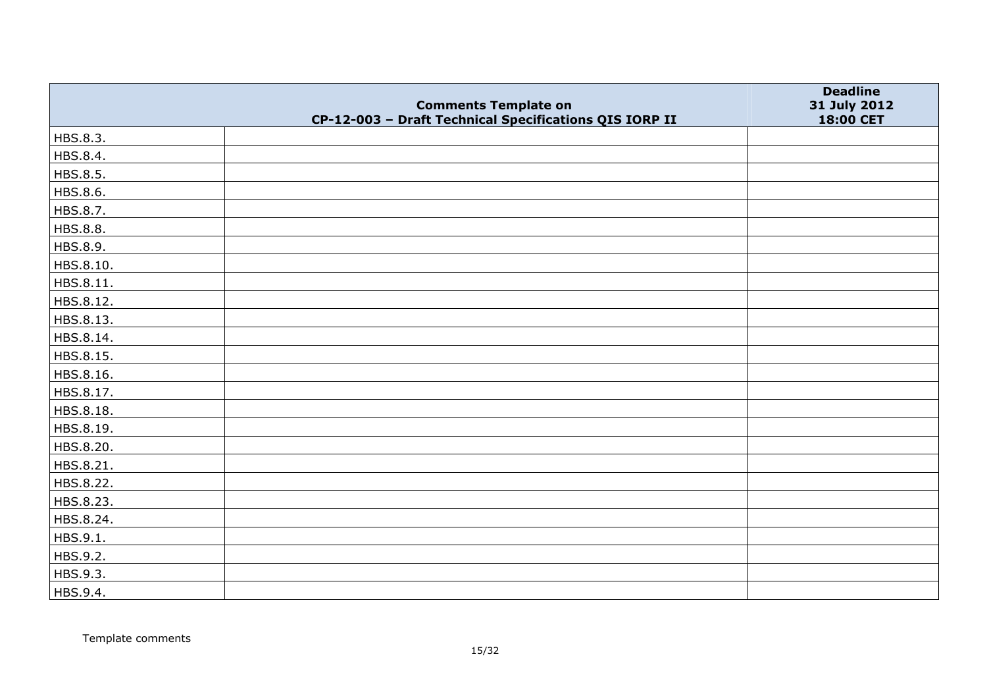|           | <b>Comments Template on</b>                            | <b>Deadline</b><br>31 July 2012 |
|-----------|--------------------------------------------------------|---------------------------------|
|           | CP-12-003 - Draft Technical Specifications QIS IORP II | 18:00 CET                       |
| HBS.8.3.  |                                                        |                                 |
| HBS.8.4.  |                                                        |                                 |
| HBS.8.5.  |                                                        |                                 |
| HBS.8.6.  |                                                        |                                 |
| HBS.8.7.  |                                                        |                                 |
| HBS.8.8.  |                                                        |                                 |
| HBS.8.9.  |                                                        |                                 |
| HBS.8.10. |                                                        |                                 |
| HBS.8.11. |                                                        |                                 |
| HBS.8.12. |                                                        |                                 |
| HBS.8.13. |                                                        |                                 |
| HBS.8.14. |                                                        |                                 |
| HBS.8.15. |                                                        |                                 |
| HBS.8.16. |                                                        |                                 |
| HBS.8.17. |                                                        |                                 |
| HBS.8.18. |                                                        |                                 |
| HBS.8.19. |                                                        |                                 |
| HBS.8.20. |                                                        |                                 |
| HBS.8.21. |                                                        |                                 |
| HBS.8.22. |                                                        |                                 |
| HBS.8.23. |                                                        |                                 |
| HBS.8.24. |                                                        |                                 |
| HBS.9.1.  |                                                        |                                 |
| HBS.9.2.  |                                                        |                                 |
| HBS.9.3.  |                                                        |                                 |
| HBS.9.4.  |                                                        |                                 |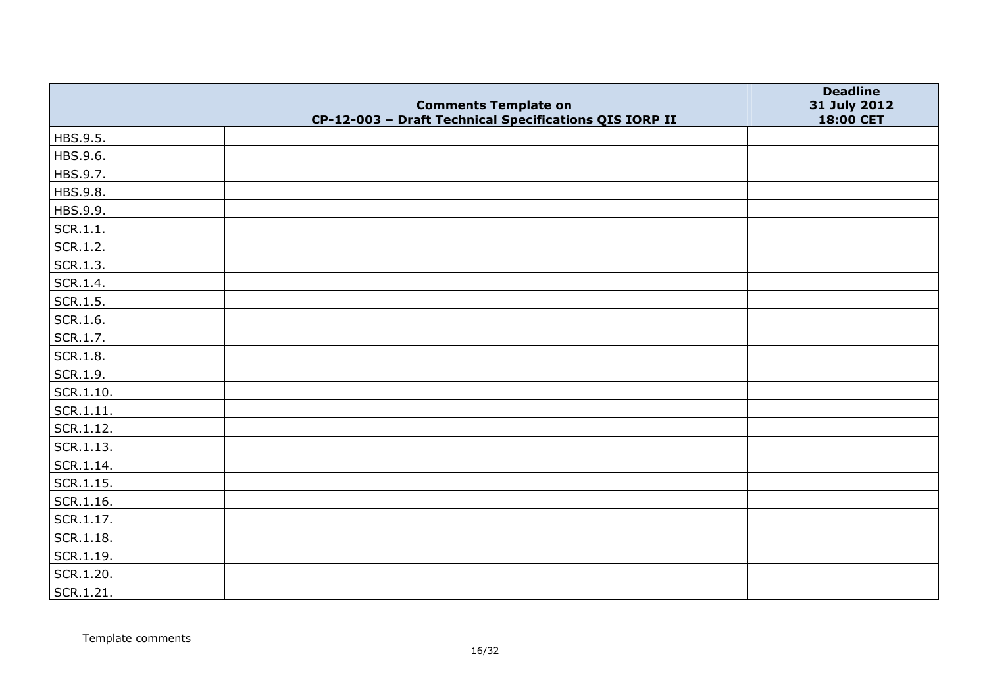|               | <b>Comments Template on</b>                            | <b>Deadline</b><br>31 July 2012 |
|---------------|--------------------------------------------------------|---------------------------------|
|               | CP-12-003 - Draft Technical Specifications QIS IORP II | 18:00 CET                       |
| HBS.9.5.      |                                                        |                                 |
| HBS.9.6.      |                                                        |                                 |
| HBS.9.7.      |                                                        |                                 |
| HBS.9.8.      |                                                        |                                 |
| HBS.9.9.      |                                                        |                                 |
| SCR.1.1.      |                                                        |                                 |
| SCR.1.2.      |                                                        |                                 |
| SCR.1.3.      |                                                        |                                 |
| SCR.1.4.      |                                                        |                                 |
| SCR.1.5.      |                                                        |                                 |
| SCR.1.6.      |                                                        |                                 |
| SCR.1.7.      |                                                        |                                 |
| SCR.1.8.      |                                                        |                                 |
| SCR.1.9.      |                                                        |                                 |
| SCR.1.10.     |                                                        |                                 |
| SCR.1.11.     |                                                        |                                 |
| SCR.1.12.     |                                                        |                                 |
| $ $ SCR.1.13. |                                                        |                                 |
| SCR.1.14.     |                                                        |                                 |
| SCR.1.15.     |                                                        |                                 |
| SCR.1.16.     |                                                        |                                 |
| SCR.1.17.     |                                                        |                                 |
| $ $ SCR.1.18. |                                                        |                                 |
| SCR.1.19.     |                                                        |                                 |
| SCR.1.20.     |                                                        |                                 |
| SCR.1.21.     |                                                        |                                 |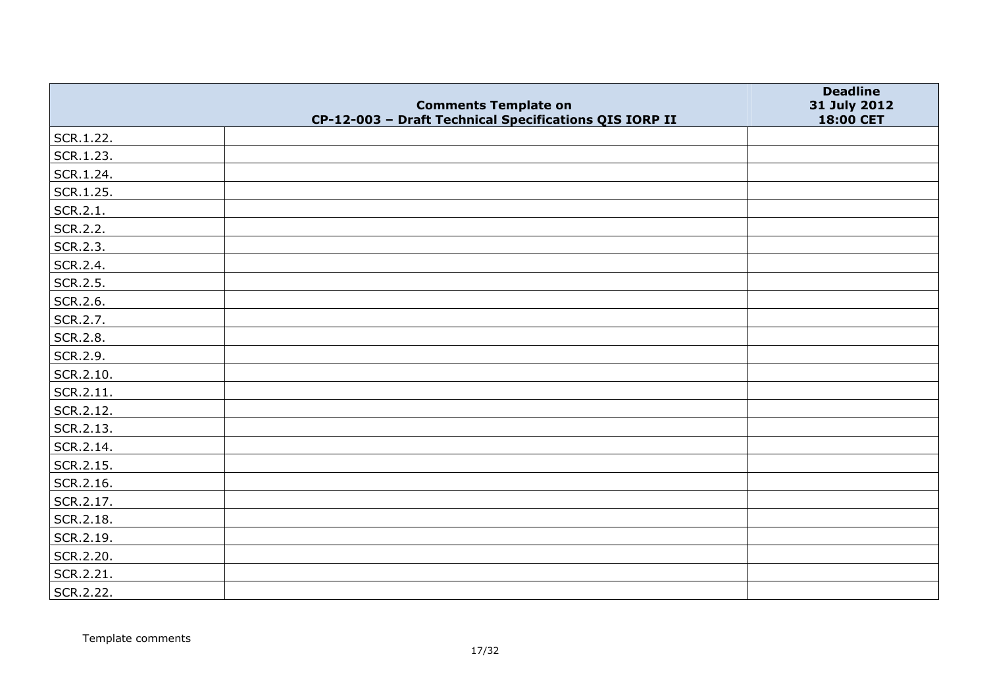|           |                                                                                       | <b>Deadline</b>           |
|-----------|---------------------------------------------------------------------------------------|---------------------------|
|           | <b>Comments Template on</b><br>CP-12-003 - Draft Technical Specifications QIS IORP II | 31 July 2012<br>18:00 CET |
| SCR.1.22. |                                                                                       |                           |
| SCR.1.23. |                                                                                       |                           |
| SCR.1.24. |                                                                                       |                           |
| SCR.1.25. |                                                                                       |                           |
| SCR.2.1.  |                                                                                       |                           |
| SCR.2.2.  |                                                                                       |                           |
| SCR.2.3.  |                                                                                       |                           |
| SCR.2.4.  |                                                                                       |                           |
| SCR.2.5.  |                                                                                       |                           |
| SCR.2.6.  |                                                                                       |                           |
| SCR.2.7.  |                                                                                       |                           |
| SCR.2.8.  |                                                                                       |                           |
| SCR.2.9.  |                                                                                       |                           |
| SCR.2.10. |                                                                                       |                           |
| SCR.2.11. |                                                                                       |                           |
| SCR.2.12. |                                                                                       |                           |
| SCR.2.13. |                                                                                       |                           |
| SCR.2.14. |                                                                                       |                           |
| SCR.2.15. |                                                                                       |                           |
| SCR.2.16. |                                                                                       |                           |
| SCR.2.17. |                                                                                       |                           |
| SCR.2.18. |                                                                                       |                           |
| SCR.2.19. |                                                                                       |                           |
| SCR.2.20. |                                                                                       |                           |
| SCR.2.21. |                                                                                       |                           |
| SCR.2.22. |                                                                                       |                           |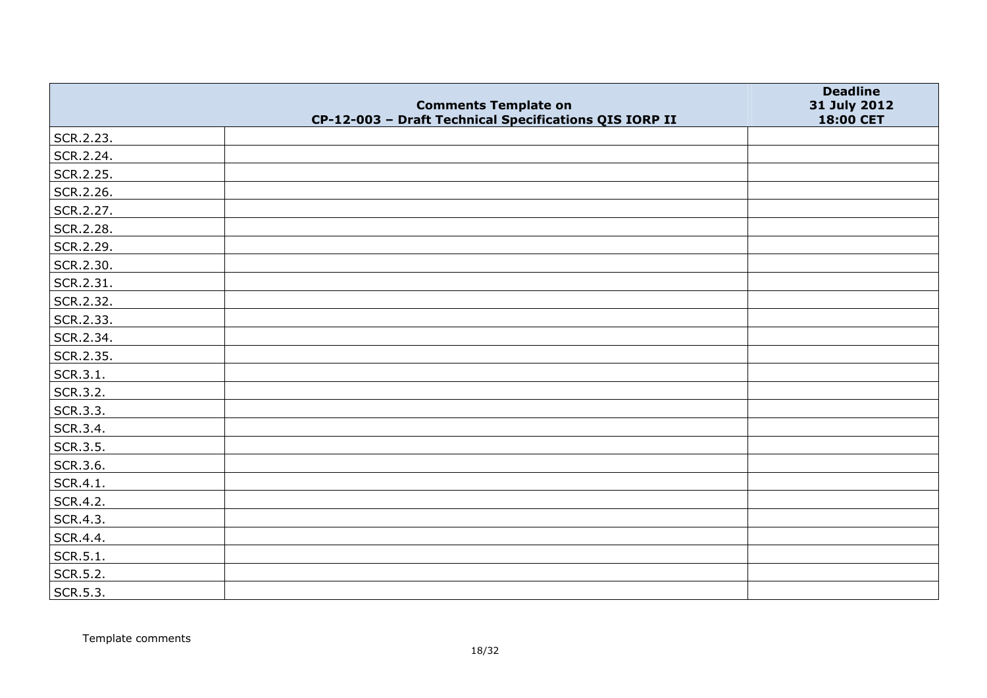|           |                                                                                       | <b>Deadline</b>           |
|-----------|---------------------------------------------------------------------------------------|---------------------------|
|           | <b>Comments Template on</b><br>CP-12-003 - Draft Technical Specifications QIS IORP II | 31 July 2012<br>18:00 CET |
| SCR.2.23. |                                                                                       |                           |
| SCR.2.24. |                                                                                       |                           |
| SCR.2.25. |                                                                                       |                           |
| SCR.2.26. |                                                                                       |                           |
| SCR.2.27. |                                                                                       |                           |
| SCR.2.28. |                                                                                       |                           |
| SCR.2.29. |                                                                                       |                           |
| SCR.2.30. |                                                                                       |                           |
| SCR.2.31. |                                                                                       |                           |
| SCR.2.32. |                                                                                       |                           |
| SCR.2.33. |                                                                                       |                           |
| SCR.2.34. |                                                                                       |                           |
| SCR.2.35. |                                                                                       |                           |
| SCR.3.1.  |                                                                                       |                           |
| SCR.3.2.  |                                                                                       |                           |
| SCR.3.3.  |                                                                                       |                           |
| SCR.3.4.  |                                                                                       |                           |
| SCR.3.5.  |                                                                                       |                           |
| SCR.3.6.  |                                                                                       |                           |
| SCR.4.1.  |                                                                                       |                           |
| SCR.4.2.  |                                                                                       |                           |
| SCR.4.3.  |                                                                                       |                           |
| SCR.4.4.  |                                                                                       |                           |
| SCR.5.1.  |                                                                                       |                           |
| SCR.5.2.  |                                                                                       |                           |
| SCR.5.3.  |                                                                                       |                           |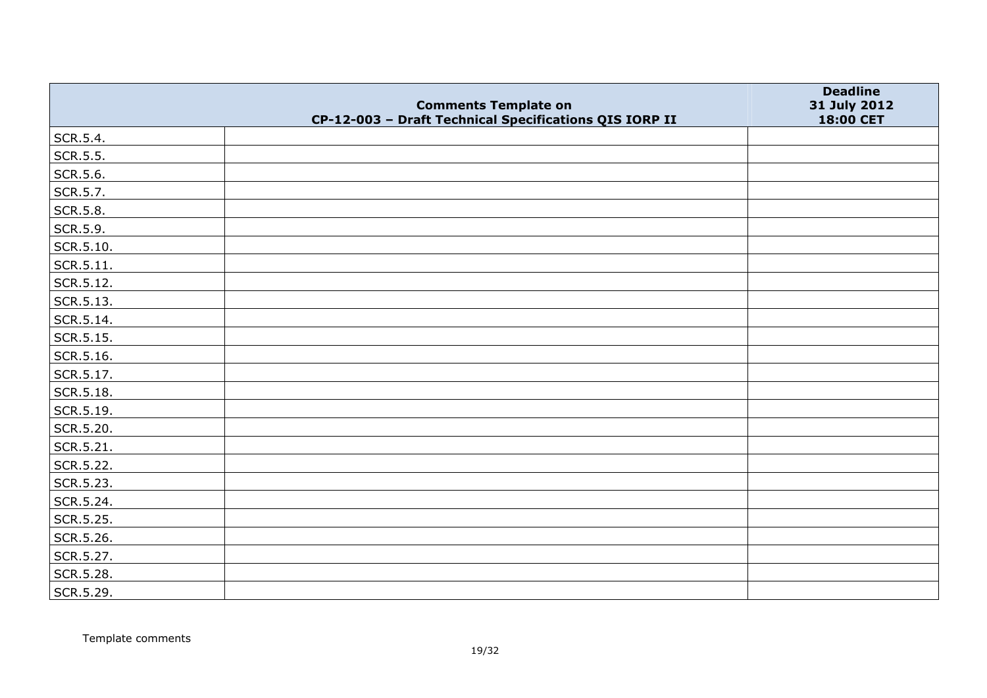|                   | <b>Comments Template on</b>                            | <b>Deadline</b><br>31 July 2012 |
|-------------------|--------------------------------------------------------|---------------------------------|
|                   | CP-12-003 - Draft Technical Specifications QIS IORP II | 18:00 CET                       |
| SCR.5.4.          |                                                        |                                 |
| SCR.5.5.          |                                                        |                                 |
| SCR.5.6.          |                                                        |                                 |
| SCR.5.7.          |                                                        |                                 |
| SCR.5.8.          |                                                        |                                 |
| SCR.5.9.          |                                                        |                                 |
| SCR.5.10.         |                                                        |                                 |
| $\vert$ SCR.5.11. |                                                        |                                 |
| SCR.5.12.         |                                                        |                                 |
| SCR.5.13.         |                                                        |                                 |
| SCR.5.14.         |                                                        |                                 |
| SCR.5.15.         |                                                        |                                 |
| SCR.5.16.         |                                                        |                                 |
| SCR.5.17.         |                                                        |                                 |
| SCR.5.18.         |                                                        |                                 |
| SCR.5.19.         |                                                        |                                 |
| SCR.5.20.         |                                                        |                                 |
| SCR.5.21.         |                                                        |                                 |
| SCR.5.22.         |                                                        |                                 |
| SCR.5.23.         |                                                        |                                 |
| SCR.5.24.         |                                                        |                                 |
| SCR.5.25.         |                                                        |                                 |
| SCR.5.26.         |                                                        |                                 |
| SCR.5.27.         |                                                        |                                 |
| SCR.5.28.         |                                                        |                                 |
| SCR.5.29.         |                                                        |                                 |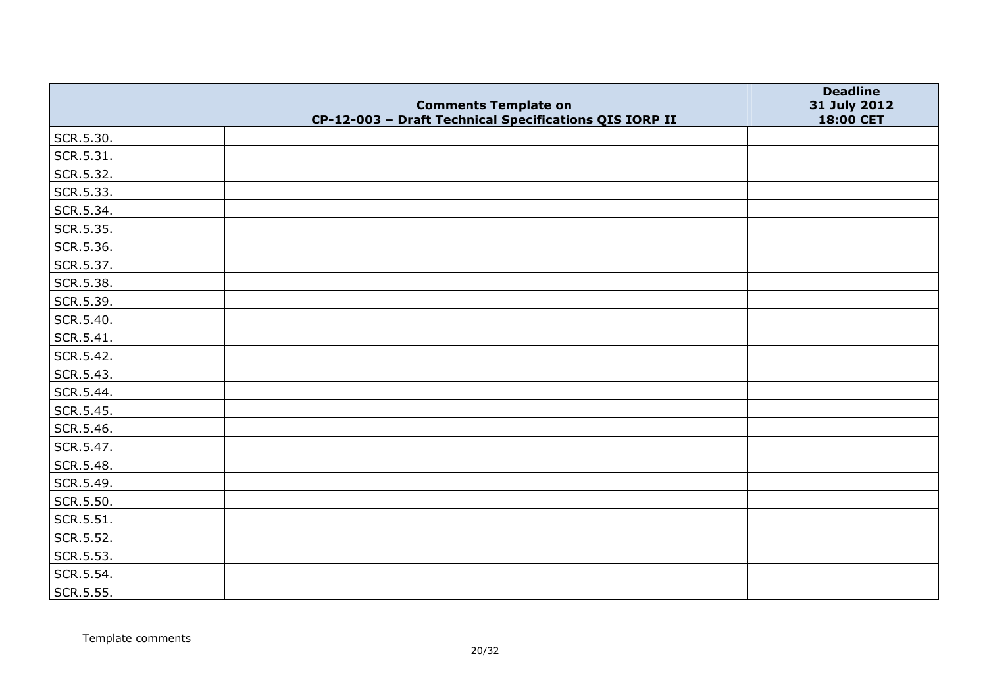|           | <b>Comments Template on</b>                            | <b>Deadline</b>           |
|-----------|--------------------------------------------------------|---------------------------|
|           | CP-12-003 - Draft Technical Specifications QIS IORP II | 31 July 2012<br>18:00 CET |
| SCR.5.30. |                                                        |                           |
| SCR.5.31. |                                                        |                           |
| SCR.5.32. |                                                        |                           |
| SCR.5.33. |                                                        |                           |
| SCR.5.34. |                                                        |                           |
| SCR.5.35. |                                                        |                           |
| SCR.5.36. |                                                        |                           |
| SCR.5.37. |                                                        |                           |
| SCR.5.38. |                                                        |                           |
| SCR.5.39. |                                                        |                           |
| SCR.5.40. |                                                        |                           |
| SCR.5.41. |                                                        |                           |
| SCR.5.42. |                                                        |                           |
| SCR.5.43. |                                                        |                           |
| SCR.5.44. |                                                        |                           |
| SCR.5.45. |                                                        |                           |
| SCR.5.46. |                                                        |                           |
| SCR.5.47. |                                                        |                           |
| SCR.5.48. |                                                        |                           |
| SCR.5.49. |                                                        |                           |
| SCR.5.50. |                                                        |                           |
| SCR.5.51. |                                                        |                           |
| SCR.5.52. |                                                        |                           |
| SCR.5.53. |                                                        |                           |
| SCR.5.54. |                                                        |                           |
| SCR.5.55. |                                                        |                           |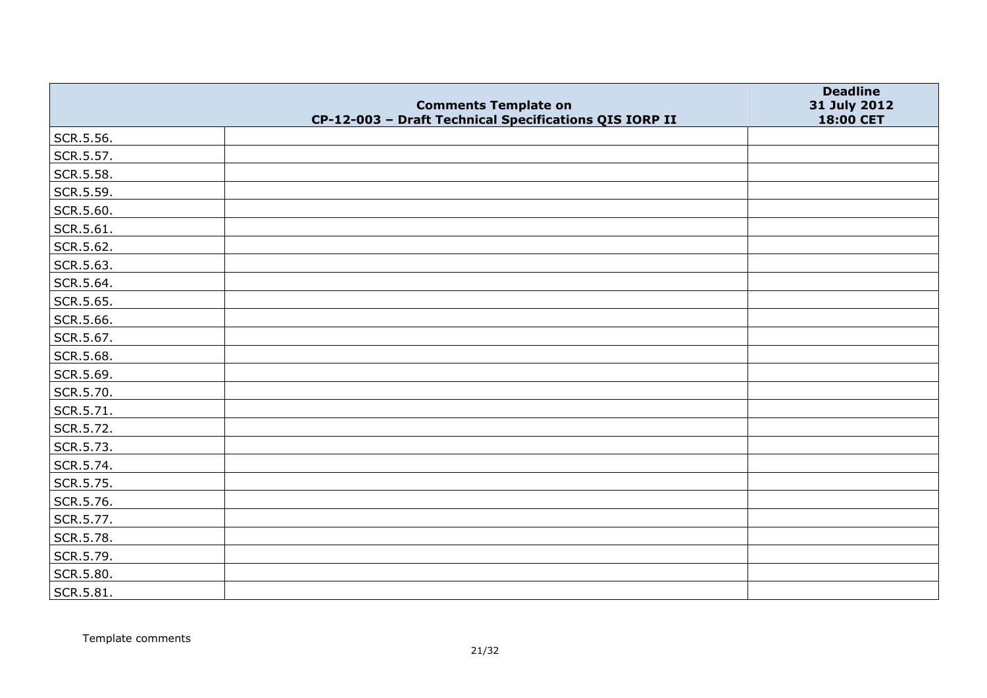|           | <b>Comments Template on</b>                            | <b>Deadline</b>           |
|-----------|--------------------------------------------------------|---------------------------|
|           | CP-12-003 - Draft Technical Specifications QIS IORP II | 31 July 2012<br>18:00 CET |
| SCR.5.56. |                                                        |                           |
| SCR.5.57. |                                                        |                           |
| SCR.5.58. |                                                        |                           |
| SCR.5.59. |                                                        |                           |
| SCR.5.60. |                                                        |                           |
| SCR.5.61. |                                                        |                           |
| SCR.5.62. |                                                        |                           |
| SCR.5.63. |                                                        |                           |
| SCR.5.64. |                                                        |                           |
| SCR.5.65. |                                                        |                           |
| SCR.5.66. |                                                        |                           |
| SCR.5.67. |                                                        |                           |
| SCR.5.68. |                                                        |                           |
| SCR.5.69. |                                                        |                           |
| SCR.5.70. |                                                        |                           |
| SCR.5.71. |                                                        |                           |
| SCR.5.72. |                                                        |                           |
| SCR.5.73. |                                                        |                           |
| SCR.5.74. |                                                        |                           |
| SCR.5.75. |                                                        |                           |
| SCR.5.76. |                                                        |                           |
| SCR.5.77. |                                                        |                           |
| SCR.5.78. |                                                        |                           |
| SCR.5.79. |                                                        |                           |
| SCR.5.80. |                                                        |                           |
| SCR.5.81. |                                                        |                           |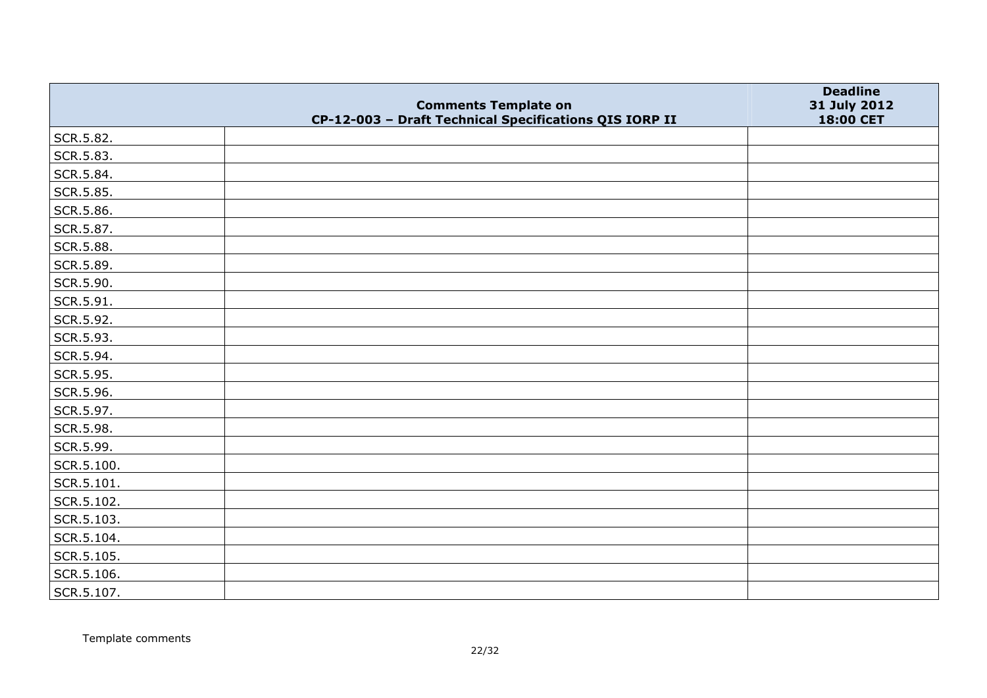|            | <b>Comments Template on</b>                            | <b>Deadline</b><br>31 July 2012 |
|------------|--------------------------------------------------------|---------------------------------|
|            | CP-12-003 - Draft Technical Specifications QIS IORP II | 18:00 CET                       |
| SCR.5.82.  |                                                        |                                 |
| SCR.5.83.  |                                                        |                                 |
| SCR.5.84.  |                                                        |                                 |
| SCR.5.85.  |                                                        |                                 |
| SCR.5.86.  |                                                        |                                 |
| SCR.5.87.  |                                                        |                                 |
| SCR.5.88.  |                                                        |                                 |
| SCR.5.89.  |                                                        |                                 |
| SCR.5.90.  |                                                        |                                 |
| SCR.5.91.  |                                                        |                                 |
| SCR.5.92.  |                                                        |                                 |
| SCR.5.93.  |                                                        |                                 |
| SCR.5.94.  |                                                        |                                 |
| SCR.5.95.  |                                                        |                                 |
| SCR.5.96.  |                                                        |                                 |
| SCR.5.97.  |                                                        |                                 |
| SCR.5.98.  |                                                        |                                 |
| SCR.5.99.  |                                                        |                                 |
| SCR.5.100. |                                                        |                                 |
| SCR.5.101. |                                                        |                                 |
| SCR.5.102. |                                                        |                                 |
| SCR.5.103. |                                                        |                                 |
| SCR.5.104. |                                                        |                                 |
| SCR.5.105. |                                                        |                                 |
| SCR.5.106. |                                                        |                                 |
| SCR.5.107. |                                                        |                                 |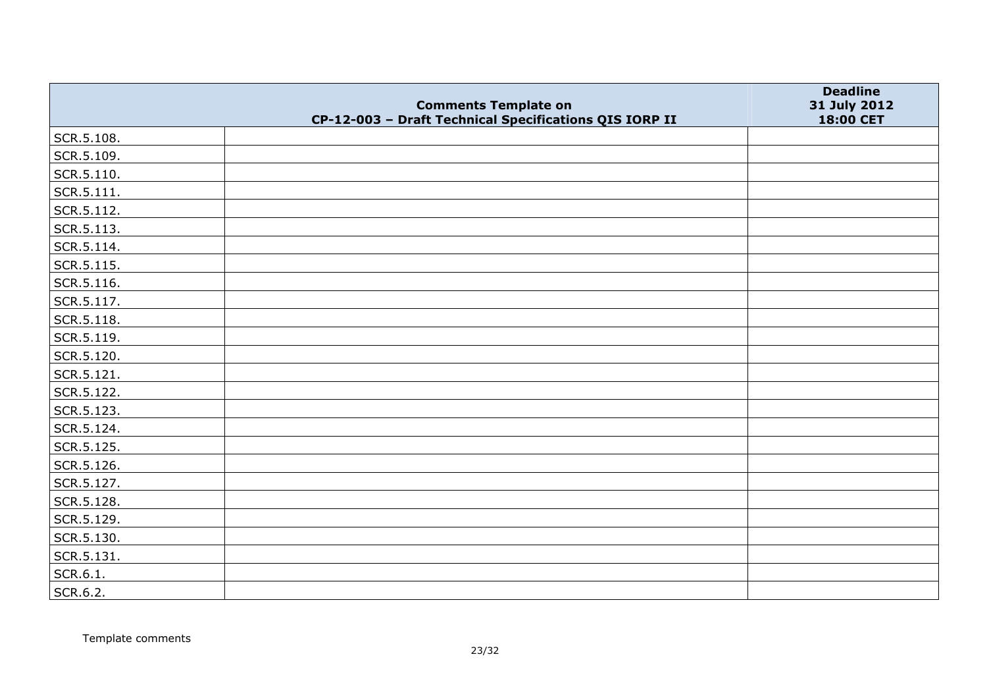|                    | <b>Comments Template on</b>                            | <b>Deadline</b><br>31 July 2012 |
|--------------------|--------------------------------------------------------|---------------------------------|
|                    | CP-12-003 - Draft Technical Specifications QIS IORP II | 18:00 CET                       |
| SCR.5.108.         |                                                        |                                 |
| SCR.5.109.         |                                                        |                                 |
| $\vert$ SCR.5.110. |                                                        |                                 |
| SCR.5.111.         |                                                        |                                 |
| SCR.5.112.         |                                                        |                                 |
| SCR.5.113.         |                                                        |                                 |
| SCR.5.114.         |                                                        |                                 |
| SCR.5.115.         |                                                        |                                 |
| SCR.5.116.         |                                                        |                                 |
| SCR.5.117.         |                                                        |                                 |
| SCR.5.118.         |                                                        |                                 |
| SCR.5.119.         |                                                        |                                 |
| SCR.5.120.         |                                                        |                                 |
| SCR.5.121.         |                                                        |                                 |
| SCR.5.122.         |                                                        |                                 |
| SCR.5.123.         |                                                        |                                 |
| SCR.5.124.         |                                                        |                                 |
| SCR.5.125.         |                                                        |                                 |
| SCR.5.126.         |                                                        |                                 |
| SCR.5.127.         |                                                        |                                 |
| SCR.5.128.         |                                                        |                                 |
| SCR.5.129.         |                                                        |                                 |
| SCR.5.130.         |                                                        |                                 |
| SCR.5.131.         |                                                        |                                 |
| SCR.6.1.           |                                                        |                                 |
| SCR.6.2.           |                                                        |                                 |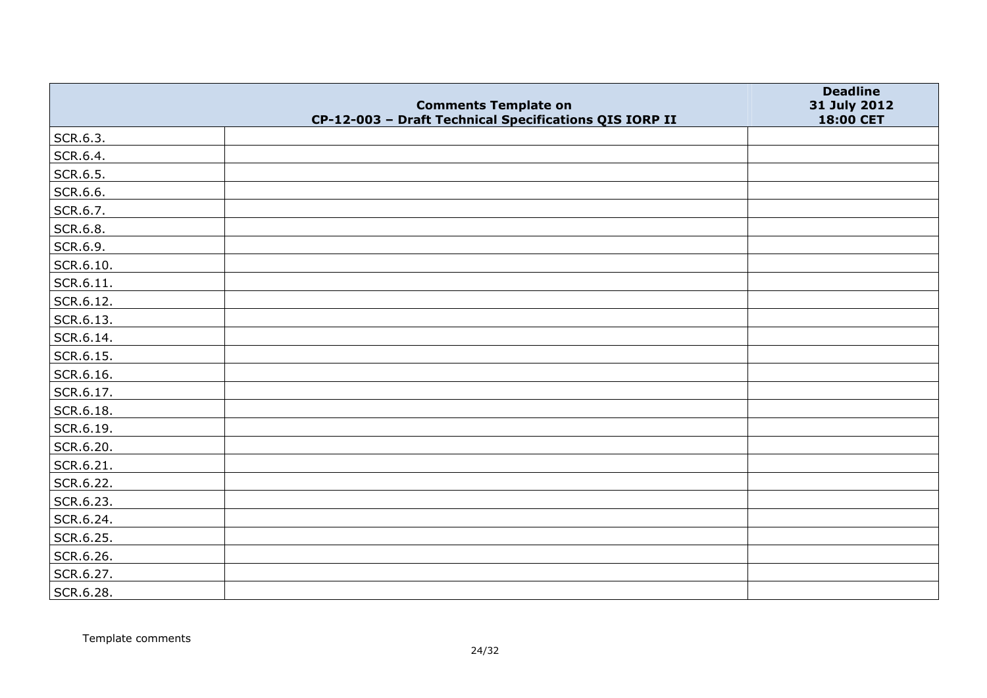|           |                                                                                       | <b>Deadline</b>           |
|-----------|---------------------------------------------------------------------------------------|---------------------------|
|           | <b>Comments Template on</b><br>CP-12-003 - Draft Technical Specifications QIS IORP II | 31 July 2012<br>18:00 CET |
| SCR.6.3.  |                                                                                       |                           |
| SCR.6.4.  |                                                                                       |                           |
| SCR.6.5.  |                                                                                       |                           |
| SCR.6.6.  |                                                                                       |                           |
| SCR.6.7.  |                                                                                       |                           |
| SCR.6.8.  |                                                                                       |                           |
| SCR.6.9.  |                                                                                       |                           |
| SCR.6.10. |                                                                                       |                           |
| SCR.6.11. |                                                                                       |                           |
| SCR.6.12. |                                                                                       |                           |
| SCR.6.13. |                                                                                       |                           |
| SCR.6.14. |                                                                                       |                           |
| SCR.6.15. |                                                                                       |                           |
| SCR.6.16. |                                                                                       |                           |
| SCR.6.17. |                                                                                       |                           |
| SCR.6.18. |                                                                                       |                           |
| SCR.6.19. |                                                                                       |                           |
| SCR.6.20. |                                                                                       |                           |
| SCR.6.21. |                                                                                       |                           |
| SCR.6.22. |                                                                                       |                           |
| SCR.6.23. |                                                                                       |                           |
| SCR.6.24. |                                                                                       |                           |
| SCR.6.25. |                                                                                       |                           |
| SCR.6.26. |                                                                                       |                           |
| SCR.6.27. |                                                                                       |                           |
| SCR.6.28. |                                                                                       |                           |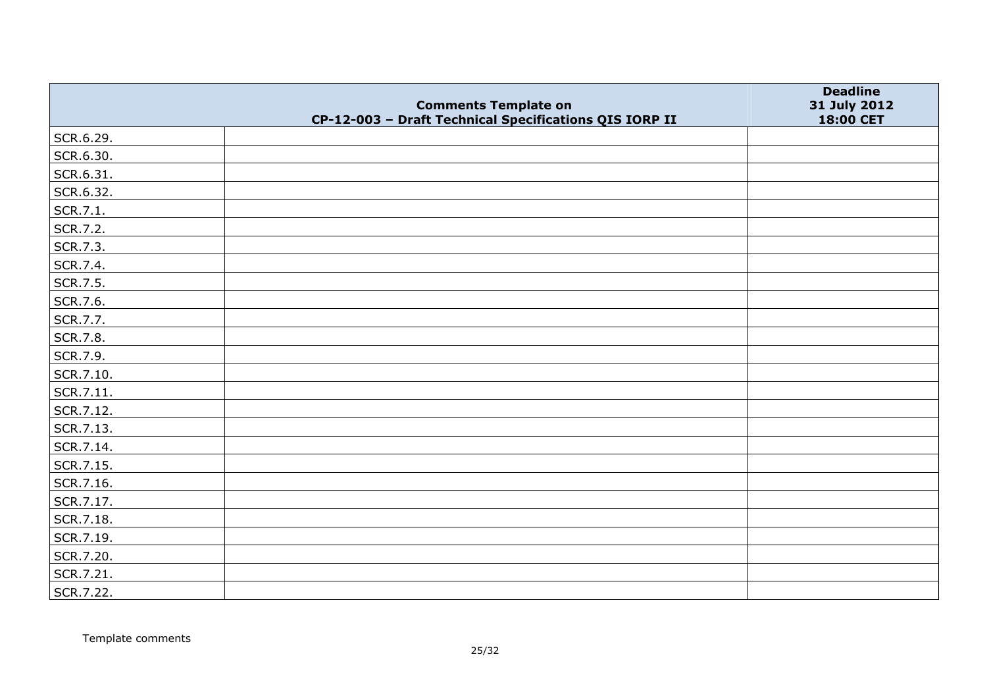|           |                                                                                       | <b>Deadline</b>           |
|-----------|---------------------------------------------------------------------------------------|---------------------------|
|           | <b>Comments Template on</b><br>CP-12-003 - Draft Technical Specifications QIS IORP II | 31 July 2012<br>18:00 CET |
| SCR.6.29. |                                                                                       |                           |
| SCR.6.30. |                                                                                       |                           |
| SCR.6.31. |                                                                                       |                           |
| SCR.6.32. |                                                                                       |                           |
| SCR.7.1.  |                                                                                       |                           |
| SCR.7.2.  |                                                                                       |                           |
| SCR.7.3.  |                                                                                       |                           |
| SCR.7.4.  |                                                                                       |                           |
| SCR.7.5.  |                                                                                       |                           |
| SCR.7.6.  |                                                                                       |                           |
| SCR.7.7.  |                                                                                       |                           |
| SCR.7.8.  |                                                                                       |                           |
| SCR.7.9.  |                                                                                       |                           |
| SCR.7.10. |                                                                                       |                           |
| SCR.7.11. |                                                                                       |                           |
| SCR.7.12. |                                                                                       |                           |
| SCR.7.13. |                                                                                       |                           |
| SCR.7.14. |                                                                                       |                           |
| SCR.7.15. |                                                                                       |                           |
| SCR.7.16. |                                                                                       |                           |
| SCR.7.17. |                                                                                       |                           |
| SCR.7.18. |                                                                                       |                           |
| SCR.7.19. |                                                                                       |                           |
| SCR.7.20. |                                                                                       |                           |
| SCR.7.21. |                                                                                       |                           |
| SCR.7.22. |                                                                                       |                           |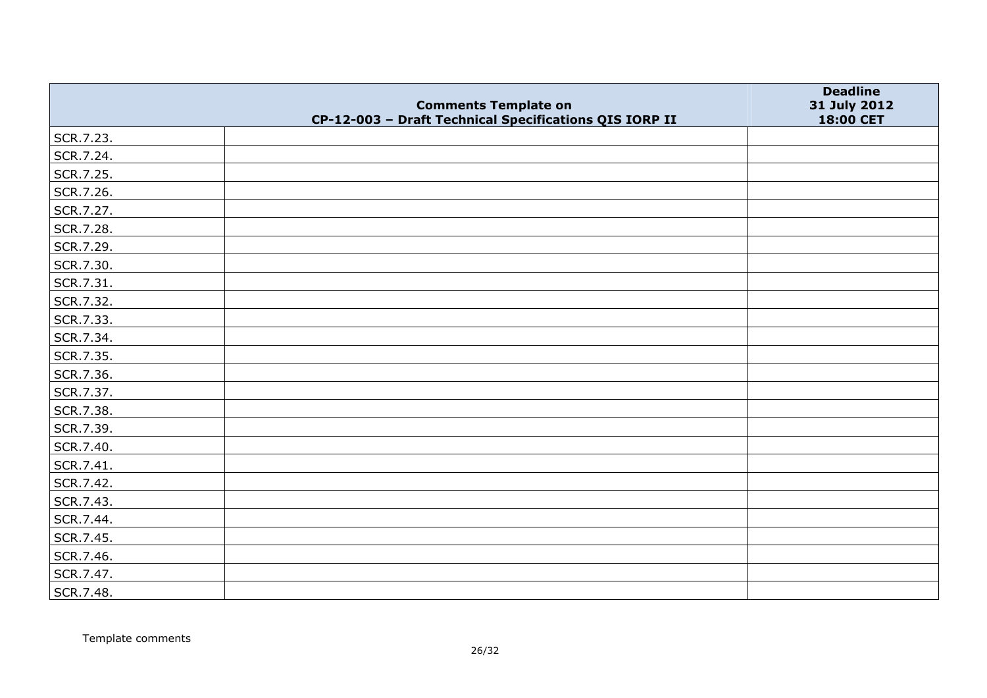|           | <b>Comments Template on</b>                            | <b>Deadline</b>           |
|-----------|--------------------------------------------------------|---------------------------|
|           | CP-12-003 - Draft Technical Specifications QIS IORP II | 31 July 2012<br>18:00 CET |
| SCR.7.23. |                                                        |                           |
| SCR.7.24. |                                                        |                           |
| SCR.7.25. |                                                        |                           |
| SCR.7.26. |                                                        |                           |
| SCR.7.27. |                                                        |                           |
| SCR.7.28. |                                                        |                           |
| SCR.7.29. |                                                        |                           |
| SCR.7.30. |                                                        |                           |
| SCR.7.31. |                                                        |                           |
| SCR.7.32. |                                                        |                           |
| SCR.7.33. |                                                        |                           |
| SCR.7.34. |                                                        |                           |
| SCR.7.35. |                                                        |                           |
| SCR.7.36. |                                                        |                           |
| SCR.7.37. |                                                        |                           |
| SCR.7.38. |                                                        |                           |
| SCR.7.39. |                                                        |                           |
| SCR.7.40. |                                                        |                           |
| SCR.7.41. |                                                        |                           |
| SCR.7.42. |                                                        |                           |
| SCR.7.43. |                                                        |                           |
| SCR.7.44. |                                                        |                           |
| SCR.7.45. |                                                        |                           |
| SCR.7.46. |                                                        |                           |
| SCR.7.47. |                                                        |                           |
| SCR.7.48. |                                                        |                           |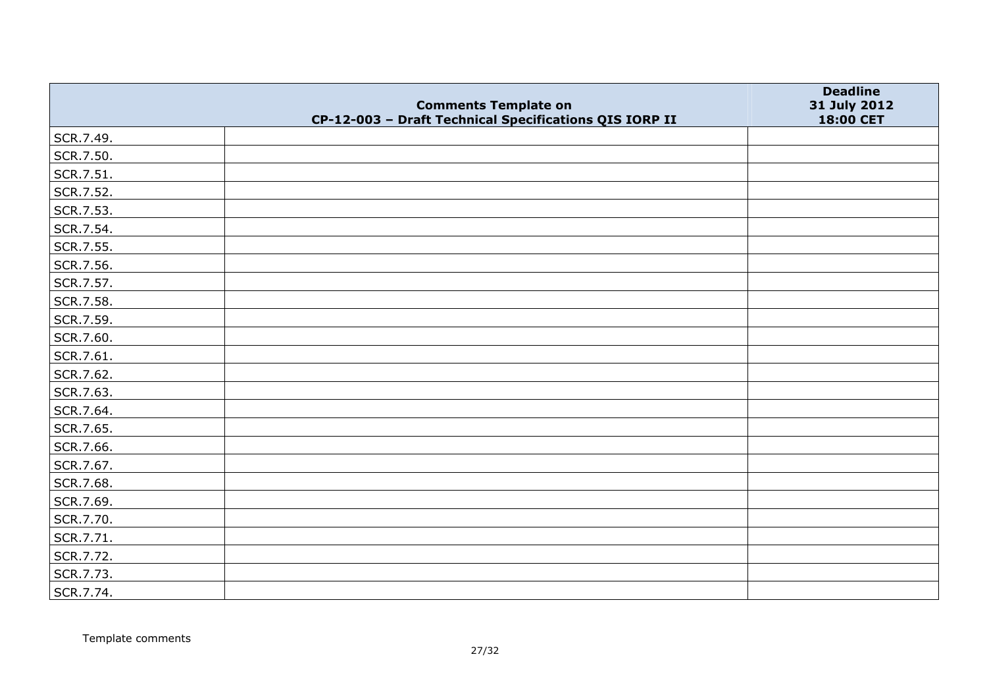|           | <b>Comments Template on</b>                            | <b>Deadline</b><br>31 July 2012 |
|-----------|--------------------------------------------------------|---------------------------------|
|           | CP-12-003 - Draft Technical Specifications QIS IORP II | 18:00 CET                       |
| SCR.7.49. |                                                        |                                 |
| SCR.7.50. |                                                        |                                 |
| SCR.7.51. |                                                        |                                 |
| SCR.7.52. |                                                        |                                 |
| SCR.7.53. |                                                        |                                 |
| SCR.7.54. |                                                        |                                 |
| SCR.7.55. |                                                        |                                 |
| SCR.7.56. |                                                        |                                 |
| SCR.7.57. |                                                        |                                 |
| SCR.7.58. |                                                        |                                 |
| SCR.7.59. |                                                        |                                 |
| SCR.7.60. |                                                        |                                 |
| SCR.7.61. |                                                        |                                 |
| SCR.7.62. |                                                        |                                 |
| SCR.7.63. |                                                        |                                 |
| SCR.7.64. |                                                        |                                 |
| SCR.7.65. |                                                        |                                 |
| SCR.7.66. |                                                        |                                 |
| SCR.7.67. |                                                        |                                 |
| SCR.7.68. |                                                        |                                 |
| SCR.7.69. |                                                        |                                 |
| SCR.7.70. |                                                        |                                 |
| SCR.7.71. |                                                        |                                 |
| SCR.7.72. |                                                        |                                 |
| SCR.7.73. |                                                        |                                 |
| SCR.7.74. |                                                        |                                 |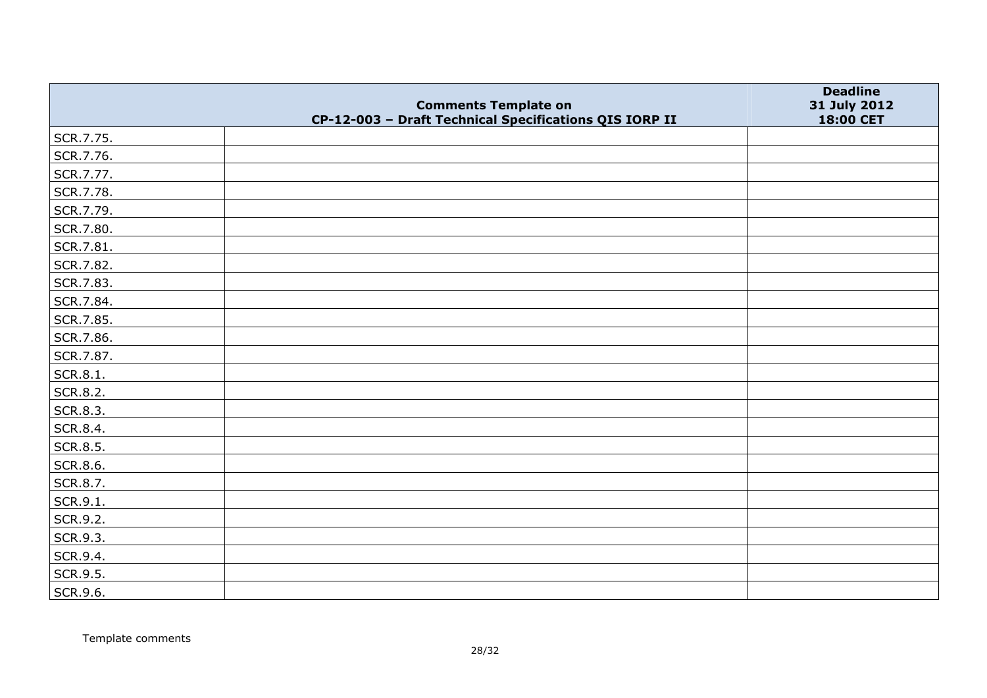|           |                                                                                       | <b>Deadline</b>           |
|-----------|---------------------------------------------------------------------------------------|---------------------------|
|           | <b>Comments Template on</b><br>CP-12-003 - Draft Technical Specifications QIS IORP II | 31 July 2012<br>18:00 CET |
| SCR.7.75. |                                                                                       |                           |
| SCR.7.76. |                                                                                       |                           |
| SCR.7.77. |                                                                                       |                           |
| SCR.7.78. |                                                                                       |                           |
| SCR.7.79. |                                                                                       |                           |
| SCR.7.80. |                                                                                       |                           |
| SCR.7.81. |                                                                                       |                           |
| SCR.7.82. |                                                                                       |                           |
| SCR.7.83. |                                                                                       |                           |
| SCR.7.84. |                                                                                       |                           |
| SCR.7.85. |                                                                                       |                           |
| SCR.7.86. |                                                                                       |                           |
| SCR.7.87. |                                                                                       |                           |
| SCR.8.1.  |                                                                                       |                           |
| SCR.8.2.  |                                                                                       |                           |
| SCR.8.3.  |                                                                                       |                           |
| SCR.8.4.  |                                                                                       |                           |
| SCR.8.5.  |                                                                                       |                           |
| SCR.8.6.  |                                                                                       |                           |
| SCR.8.7.  |                                                                                       |                           |
| SCR.9.1.  |                                                                                       |                           |
| SCR.9.2.  |                                                                                       |                           |
| SCR.9.3.  |                                                                                       |                           |
| SCR.9.4.  |                                                                                       |                           |
| SCR.9.5.  |                                                                                       |                           |
| SCR.9.6.  |                                                                                       |                           |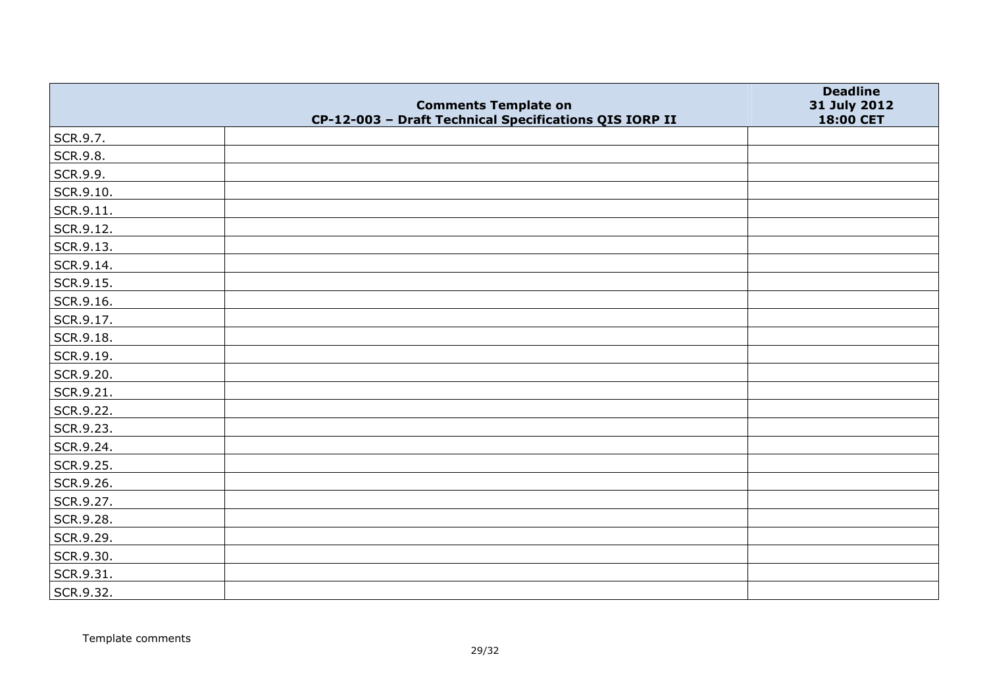|                   | <b>Comments Template on</b>                            | <b>Deadline</b><br>31 July 2012 |
|-------------------|--------------------------------------------------------|---------------------------------|
|                   | CP-12-003 - Draft Technical Specifications QIS IORP II | 18:00 CET                       |
| SCR.9.7.          |                                                        |                                 |
| SCR.9.8.          |                                                        |                                 |
| SCR.9.9.          |                                                        |                                 |
| SCR.9.10.         |                                                        |                                 |
| $\vert$ SCR.9.11. |                                                        |                                 |
| SCR.9.12.         |                                                        |                                 |
| SCR.9.13.         |                                                        |                                 |
| SCR.9.14.         |                                                        |                                 |
| SCR.9.15.         |                                                        |                                 |
| SCR.9.16.         |                                                        |                                 |
| SCR.9.17.         |                                                        |                                 |
| SCR.9.18.         |                                                        |                                 |
| SCR.9.19.         |                                                        |                                 |
| SCR.9.20.         |                                                        |                                 |
| SCR.9.21.         |                                                        |                                 |
| SCR.9.22.         |                                                        |                                 |
| SCR.9.23.         |                                                        |                                 |
| SCR.9.24.         |                                                        |                                 |
| SCR.9.25.         |                                                        |                                 |
| SCR.9.26.         |                                                        |                                 |
| SCR.9.27.         |                                                        |                                 |
| SCR.9.28.         |                                                        |                                 |
| SCR.9.29.         |                                                        |                                 |
| SCR.9.30.         |                                                        |                                 |
| SCR.9.31.         |                                                        |                                 |
| SCR.9.32.         |                                                        |                                 |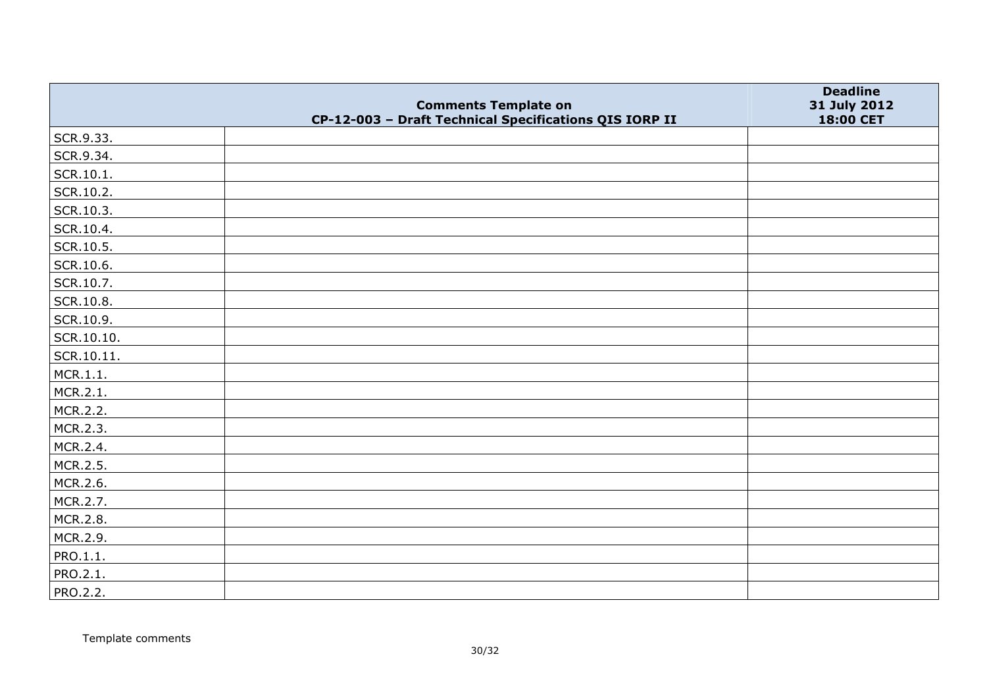|            |                                                                                       | <b>Deadline</b>           |
|------------|---------------------------------------------------------------------------------------|---------------------------|
|            | <b>Comments Template on</b><br>CP-12-003 - Draft Technical Specifications QIS IORP II | 31 July 2012<br>18:00 CET |
| SCR.9.33.  |                                                                                       |                           |
| SCR.9.34.  |                                                                                       |                           |
| SCR.10.1.  |                                                                                       |                           |
| SCR.10.2.  |                                                                                       |                           |
| SCR.10.3.  |                                                                                       |                           |
| SCR.10.4.  |                                                                                       |                           |
| SCR.10.5.  |                                                                                       |                           |
| SCR.10.6.  |                                                                                       |                           |
| SCR.10.7.  |                                                                                       |                           |
| SCR.10.8.  |                                                                                       |                           |
| SCR.10.9.  |                                                                                       |                           |
| SCR.10.10. |                                                                                       |                           |
| SCR.10.11. |                                                                                       |                           |
| MCR.1.1.   |                                                                                       |                           |
| MCR.2.1.   |                                                                                       |                           |
| MCR.2.2.   |                                                                                       |                           |
| MCR.2.3.   |                                                                                       |                           |
| MCR.2.4.   |                                                                                       |                           |
| MCR.2.5.   |                                                                                       |                           |
| MCR.2.6.   |                                                                                       |                           |
| MCR.2.7.   |                                                                                       |                           |
| MCR.2.8.   |                                                                                       |                           |
| MCR.2.9.   |                                                                                       |                           |
| PRO.1.1.   |                                                                                       |                           |
| PRO.2.1.   |                                                                                       |                           |
| PRO.2.2.   |                                                                                       |                           |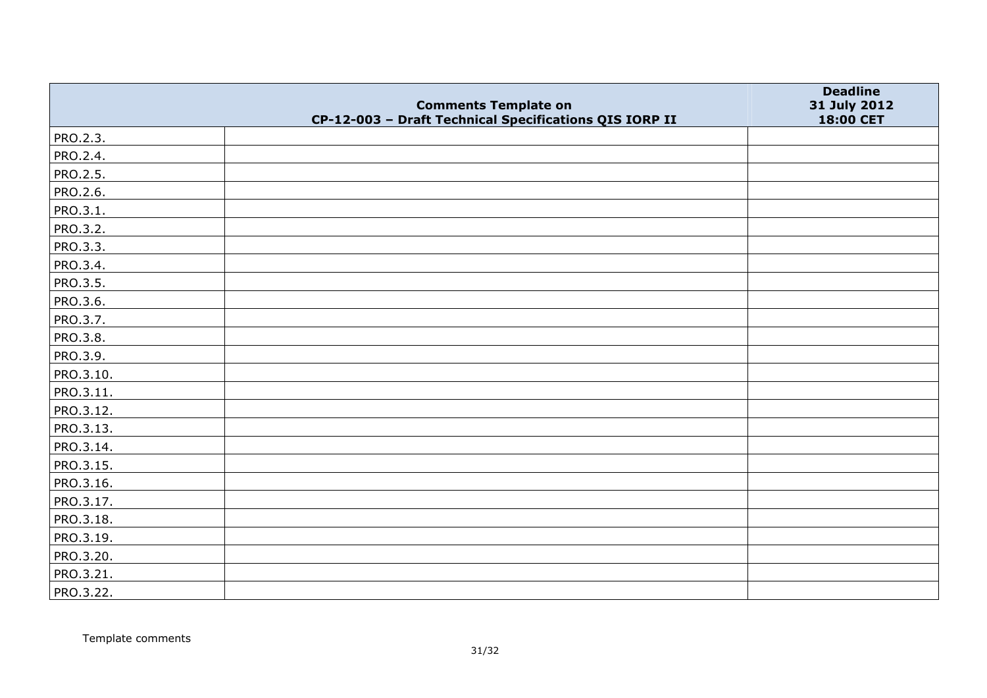|                 | <b>Comments Template on</b>                            | <b>Deadline</b><br>31 July 2012 |
|-----------------|--------------------------------------------------------|---------------------------------|
|                 | CP-12-003 - Draft Technical Specifications QIS IORP II | 18:00 CET                       |
| PRO.2.3.        |                                                        |                                 |
| PRO.2.4.        |                                                        |                                 |
| PRO.2.5.        |                                                        |                                 |
| PRO.2.6.        |                                                        |                                 |
| PRO.3.1.        |                                                        |                                 |
| PRO.3.2.        |                                                        |                                 |
| PRO.3.3.        |                                                        |                                 |
| PRO.3.4.        |                                                        |                                 |
| <b>PRO.3.5.</b> |                                                        |                                 |
| PRO.3.6.        |                                                        |                                 |
| PRO.3.7.        |                                                        |                                 |
| PRO.3.8.        |                                                        |                                 |
| PRO.3.9.        |                                                        |                                 |
| PRO.3.10.       |                                                        |                                 |
| PRO.3.11.       |                                                        |                                 |
| PRO.3.12.       |                                                        |                                 |
| PRO.3.13.       |                                                        |                                 |
| PRO.3.14.       |                                                        |                                 |
| PRO.3.15.       |                                                        |                                 |
| PRO.3.16.       |                                                        |                                 |
| PRO.3.17.       |                                                        |                                 |
| PRO.3.18.       |                                                        |                                 |
| PRO.3.19.       |                                                        |                                 |
| PRO.3.20.       |                                                        |                                 |
| PRO.3.21.       |                                                        |                                 |
| PRO.3.22.       |                                                        |                                 |